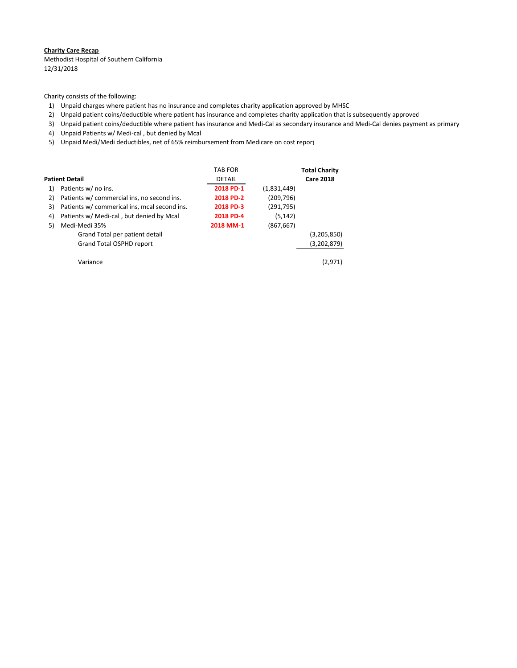#### **Charity Care Recap**

 Methodist Hospital of Southern California 12/31/2018

Charity consists of the following:

- 1) Unpaid charges where patient has no insurance and completes charity application approved by MHSC
- 2) Unpaid patient coins/deductible where patient has insurance and completes charity application that is subsequently approved
- 3) Unpaid patient coins/deductible where patient has insurance and Medi‐Cal as secondary insurance and Medi‐Cal denies payment as primary
- 4) Unpaid Patients w/ Medi‐cal , but denied by Mcal
- 5) Unpaid Medi/Medi deductibles, net of 65% reimbursement from Medicare on cost report

|    | Patient Detail                               | <b>TAB FOR</b><br><b>DETAIL</b> |             | <b>Total Charity</b><br><b>Care 2018</b> |
|----|----------------------------------------------|---------------------------------|-------------|------------------------------------------|
| 1) | Patients w/ no ins.                          | 2018 PD-1                       | (1,831,449) |                                          |
| 2) | Patients w/ commercial ins, no second ins.   | 2018 PD-2                       | (209, 796)  |                                          |
| 3) | Patients w/ commerical ins, mcal second ins. | 2018 PD-3                       | (291,795)   |                                          |
| 4) | Patients w/ Medi-cal, but denied by Mcal     | 2018 PD-4                       | (5, 142)    |                                          |
| 5) | Medi-Medi 35%                                | 2018 MM-1                       | (867, 667)  |                                          |
|    | Grand Total per patient detail               |                                 |             | (3,205,850)                              |
|    | Grand Total OSPHD report                     |                                 |             | (3,202,879)                              |
|    |                                              |                                 |             |                                          |
|    | Variance                                     |                                 |             | (2,971)                                  |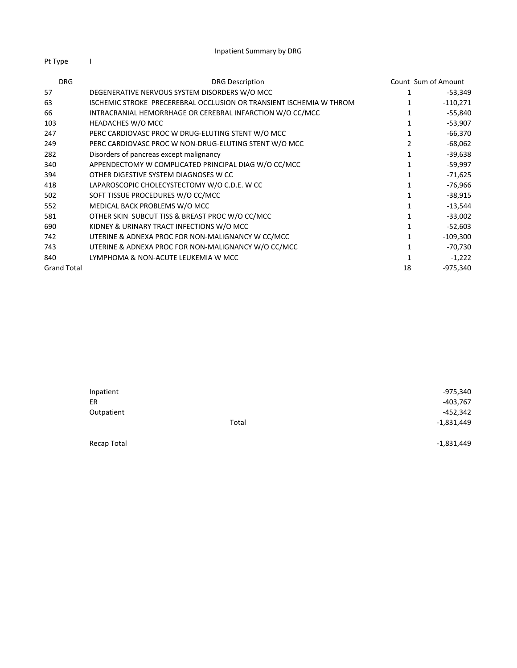Pt Type I

| <b>DRG</b>         | <b>DRG Description</b>                                              |    | Count Sum of Amount |
|--------------------|---------------------------------------------------------------------|----|---------------------|
| 57                 | DEGENERATIVE NERVOUS SYSTEM DISORDERS W/O MCC                       |    | -53,349             |
| 63                 | ISCHEMIC STROKE PRECEREBRAL OCCLUSION OR TRANSIENT ISCHEMIA W THROM |    | $-110,271$          |
| 66                 | INTRACRANIAL HEMORRHAGE OR CEREBRAL INFARCTION W/O CC/MCC           |    | -55,840             |
| 103                | HEADACHES W/O MCC                                                   |    | $-53,907$           |
| 247                | PERC CARDIOVASC PROC W DRUG-ELUTING STENT W/O MCC                   |    | $-66,370$           |
| 249                | PERC CARDIOVASC PROC W NON-DRUG-ELUTING STENT W/O MCC               |    | $-68,062$           |
| 282                | Disorders of pancreas except malignancy                             |    | $-39,638$           |
| 340                | APPENDECTOMY W COMPLICATED PRINCIPAL DIAG W/O CC/MCC                |    | -59,997             |
| 394                | OTHER DIGESTIVE SYSTEM DIAGNOSES W CC                               |    | -71,625             |
| 418                | LAPAROSCOPIC CHOLECYSTECTOMY W/O C.D.E. W CC                        |    | $-76,966$           |
| 502                | SOFT TISSUE PROCEDURES W/O CC/MCC                                   |    | $-38,915$           |
| 552                | MEDICAL BACK PROBLEMS W/O MCC                                       |    | $-13,544$           |
| 581                | OTHER SKIN SUBCUT TISS & BREAST PROC W/O CC/MCC                     |    | $-33,002$           |
| 690                | KIDNEY & URINARY TRACT INFECTIONS W/O MCC                           |    | $-52,603$           |
| 742                | UTERINE & ADNEXA PROC FOR NON-MALIGNANCY W CC/MCC                   |    | $-109,300$          |
| 743                | UTERINE & ADNEXA PROC FOR NON-MALIGNANCY W/O CC/MCC                 |    | $-70,730$           |
| 840                | LYMPHOMA & NON-ACUTE LEUKEMIA W MCC                                 |    | $-1,222$            |
| <b>Grand Total</b> |                                                                     | 18 | $-975,340$          |

| Inpatient   |       | $-975,340$   |
|-------------|-------|--------------|
| ER          |       | $-403,767$   |
| Outpatient  |       | $-452,342$   |
|             | Total | $-1,831,449$ |
| Recap Total |       | $-1,831,449$ |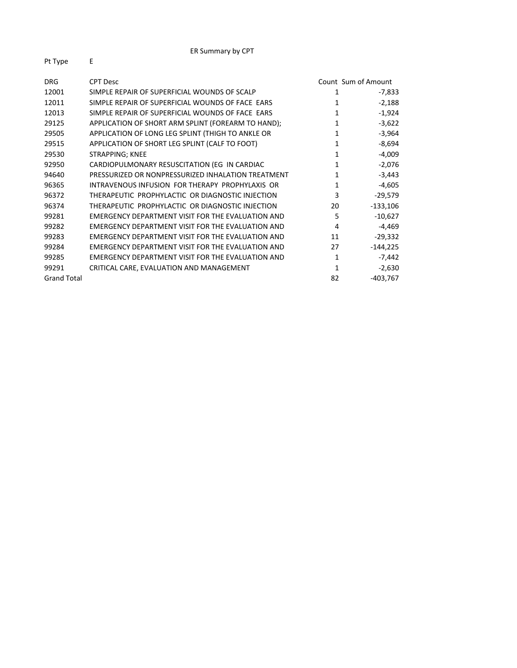| <b>DRG</b>         | <b>CPT Desc</b>                                    |    | Count Sum of Amount |
|--------------------|----------------------------------------------------|----|---------------------|
| 12001              | SIMPLE REPAIR OF SUPERFICIAL WOUNDS OF SCALP       | 1  | $-7,833$            |
| 12011              | SIMPLE REPAIR OF SUPERFICIAL WOUNDS OF FACE EARS   | 1  | $-2,188$            |
| 12013              | SIMPLE REPAIR OF SUPERFICIAL WOUNDS OF FACE EARS   | 1  | $-1,924$            |
| 29125              | APPLICATION OF SHORT ARM SPLINT (FOREARM TO HAND); | 1  | $-3,622$            |
| 29505              | APPLICATION OF LONG LEG SPLINT (THIGH TO ANKLE OR  | 1  | $-3,964$            |
| 29515              | APPLICATION OF SHORT LEG SPLINT (CALF TO FOOT)     | 1  | $-8,694$            |
| 29530              | STRAPPING; KNEE                                    | 1  | $-4,009$            |
| 92950              | CARDIOPULMONARY RESUSCITATION (EG IN CARDIAC       | 1  | $-2,076$            |
| 94640              | PRESSURIZED OR NONPRESSURIZED INHALATION TREATMENT | 1  | $-3,443$            |
| 96365              | INTRAVENOUS INFUSION FOR THERAPY PROPHYLAXIS OR    | 1  | $-4,605$            |
| 96372              | THERAPEUTIC PROPHYLACTIC OR DIAGNOSTIC INJECTION   | 3  | $-29,579$           |
| 96374              | THERAPEUTIC PROPHYLACTIC OR DIAGNOSTIC INJECTION   | 20 | $-133,106$          |
| 99281              | EMERGENCY DEPARTMENT VISIT FOR THE EVALUATION AND  | 5  | $-10,627$           |
| 99282              | EMERGENCY DEPARTMENT VISIT FOR THE EVALUATION AND  | 4  | $-4,469$            |
| 99283              | EMERGENCY DEPARTMENT VISIT FOR THE EVALUATION AND  | 11 | $-29,332$           |
| 99284              | EMERGENCY DEPARTMENT VISIT FOR THE EVALUATION AND  | 27 | $-144,225$          |
| 99285              | EMERGENCY DEPARTMENT VISIT FOR THE EVALUATION AND  | 1  | $-7,442$            |
| 99291              | CRITICAL CARE, EVALUATION AND MANAGEMENT           | 1  | $-2,630$            |
| <b>Grand Total</b> |                                                    | 82 | $-403,767$          |
|                    |                                                    |    |                     |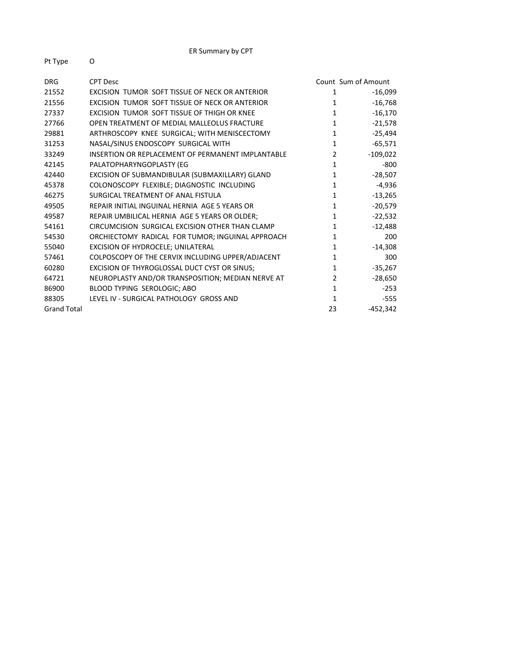| Pt Type |  |
|---------|--|
|         |  |

| <b>DRG</b>         | <b>CPT Desc</b>                                   |                | Count Sum of Amount |
|--------------------|---------------------------------------------------|----------------|---------------------|
| 21552              | EXCISION TUMOR SOFT TISSUE OF NECK OR ANTERIOR    | 1              | $-16,099$           |
| 21556              | EXCISION TUMOR SOFT TISSUE OF NECK OR ANTERIOR    | 1              | $-16,768$           |
| 27337              | EXCISION TUMOR SOFT TISSUE OF THIGH OR KNEE       | $\mathbf{1}$   | $-16,170$           |
| 27766              | OPEN TREATMENT OF MEDIAL MALLEOLUS FRACTURE       | $\mathbf{1}$   | $-21,578$           |
| 29881              | ARTHROSCOPY KNEE SURGICAL; WITH MENISCECTOMY      | $\mathbf{1}$   | $-25,494$           |
| 31253              | NASAL/SINUS ENDOSCOPY SURGICAL WITH               | $\mathbf{1}$   | $-65,571$           |
| 33249              | INSERTION OR REPLACEMENT OF PERMANENT IMPLANTABLE | $\overline{2}$ | $-109,022$          |
| 42145              | PALATOPHARYNGOPLASTY (EG                          | 1              | $-800$              |
| 42440              | EXCISION OF SUBMANDIBULAR (SUBMAXILLARY) GLAND    | $\mathbf{1}$   | $-28,507$           |
| 45378              | COLONOSCOPY FLEXIBLE; DIAGNOSTIC INCLUDING        | 1              | $-4,936$            |
| 46275              | SURGICAL TREATMENT OF ANAL FISTULA                | $\mathbf{1}$   | $-13,265$           |
| 49505              | REPAIR INITIAL INGUINAL HERNIA AGE 5 YEARS OR     | 1              | $-20,579$           |
| 49587              | REPAIR UMBILICAL HERNIA AGE 5 YEARS OR OLDER;     | 1              | $-22,532$           |
| 54161              | CIRCUMCISION SURGICAL EXCISION OTHER THAN CLAMP   | 1              | $-12,488$           |
| 54530              | ORCHIECTOMY RADICAL FOR TUMOR; INGUINAL APPROACH  | 1              | 200                 |
| 55040              | EXCISION OF HYDROCELE; UNILATERAL                 | $\mathbf{1}$   | $-14,308$           |
| 57461              | COLPOSCOPY OF THE CERVIX INCLUDING UPPER/ADJACENT | 1              | 300                 |
| 60280              | EXCISION OF THYROGLOSSAL DUCT CYST OR SINUS;      | 1              | $-35,267$           |
| 64721              | NEUROPLASTY AND/OR TRANSPOSITION; MEDIAN NERVE AT | $\overline{2}$ | $-28,650$           |
| 86900              | BLOOD TYPING SEROLOGIC; ABO                       | 1              | $-253$              |
| 88305              | LEVEL IV - SURGICAL PATHOLOGY GROSS AND           | 1              | $-555$              |
| <b>Grand Total</b> |                                                   | 23             | $-452,342$          |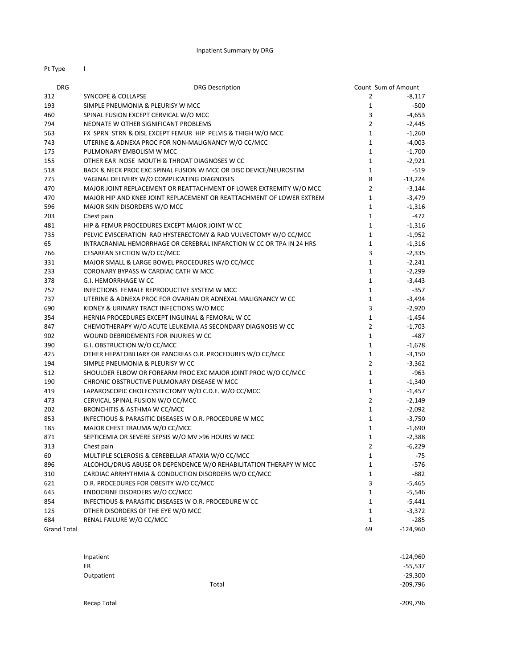Pt Type I

| <b>DRG</b>         | <b>DRG Description</b>                                               |                | Count Sum of Amount |
|--------------------|----------------------------------------------------------------------|----------------|---------------------|
| 312                | <b>SYNCOPE &amp; COLLAPSE</b>                                        | 2              | $-8,117$            |
| 193                | SIMPLE PNEUMONIA & PLEURISY W MCC                                    | $\mathbf{1}$   | -500                |
| 460                | SPINAL FUSION EXCEPT CERVICAL W/O MCC                                | 3              | $-4,653$            |
| 794                | NEONATE W OTHER SIGNIFICANT PROBLEMS                                 | $\overline{2}$ | $-2,445$            |
| 563                | FX SPRN STRN & DISL EXCEPT FEMUR HIP PELVIS & THIGH W/O MCC          | $\mathbf{1}$   | $-1,260$            |
| 743                | UTERINE & ADNEXA PROC FOR NON-MALIGNANCY W/O CC/MCC                  | $\mathbf{1}$   | $-4,003$            |
| 175                | PULMONARY EMBOLISM W MCC                                             | $\mathbf{1}$   | $-1,700$            |
| 155                | OTHER EAR NOSE MOUTH & THROAT DIAGNOSES W CC                         | $\mathbf{1}$   | $-2,921$            |
| 518                | BACK & NECK PROC EXC SPINAL FUSION W MCC OR DISC DEVICE/NEUROSTIM    | $\mathbf{1}$   | $-519$              |
| 775                | VAGINAL DELIVERY W/O COMPLICATING DIAGNOSES                          | 8              | $-13,224$           |
| 470                | MAJOR JOINT REPLACEMENT OR REATTACHMENT OF LOWER EXTREMITY W/O MCC   | $\overline{2}$ | $-3,144$            |
| 470                | MAJOR HIP AND KNEE JOINT REPLACEMENT OR REATTACHMENT OF LOWER EXTREM | $\mathbf{1}$   | $-3,479$            |
| 596                | MAJOR SKIN DISORDERS W/O MCC                                         | $\mathbf{1}$   | $-1,316$            |
| 203                | Chest pain                                                           | $\mathbf{1}$   | $-472$              |
| 481                | HIP & FEMUR PROCEDURES EXCEPT MAJOR JOINT W CC                       | $\mathbf{1}$   | $-1,316$            |
| 735                | PELVIC EVISCERATION RAD HYSTERECTOMY & RAD VULVECTOMY W/O CC/MCC     | $\mathbf{1}$   | $-1,952$            |
| 65                 | INTRACRANIAL HEMORRHAGE OR CEREBRAL INFARCTION W CC OR TPA IN 24 HRS | $\mathbf{1}$   | $-1,316$            |
| 766                | CESAREAN SECTION W/O CC/MCC                                          | 3              | $-2,335$            |
| 331                | MAJOR SMALL & LARGE BOWEL PROCEDURES W/O CC/MCC                      | $\mathbf{1}$   | $-2,241$            |
| 233                | CORONARY BYPASS W CARDIAC CATH W MCC                                 | $\mathbf{1}$   | $-2,299$            |
| 378                | G.I. HEMORRHAGE W CC                                                 | $\mathbf{1}$   | $-3,443$            |
| 757                | INFECTIONS FEMALE REPRODUCTIVE SYSTEM W MCC                          | $\mathbf{1}$   | $-357$              |
| 737                | UTERINE & ADNEXA PROC FOR OVARIAN OR ADNEXAL MALIGNANCY W CC         | $\mathbf{1}$   | $-3,494$            |
| 690                | KIDNEY & URINARY TRACT INFECTIONS W/O MCC                            | 3              | $-2,920$            |
| 354                | HERNIA PROCEDURES EXCEPT INGUINAL & FEMORAL W CC                     | $\mathbf{1}$   | $-1,454$            |
| 847                | CHEMOTHERAPY W/O ACUTE LEUKEMIA AS SECONDARY DIAGNOSIS W CC          | $\overline{2}$ | $-1,703$            |
| 902                | WOUND DEBRIDEMENTS FOR INJURIES W CC                                 | $\mathbf{1}$   | -487                |
| 390                | G.I. OBSTRUCTION W/O CC/MCC                                          | $\mathbf{1}$   | $-1,678$            |
| 425                | OTHER HEPATOBILIARY OR PANCREAS O.R. PROCEDURES W/O CC/MCC           | $\mathbf{1}$   | $-3,150$            |
| 194                | SIMPLE PNEUMONIA & PLEURISY W CC                                     | $\overline{2}$ | $-3,362$            |
| 512                | SHOULDER ELBOW OR FOREARM PROC EXC MAJOR JOINT PROC W/O CC/MCC       | $\mathbf{1}$   | -963                |
| 190                | CHRONIC OBSTRUCTIVE PULMONARY DISEASE W MCC                          | $\mathbf{1}$   | $-1,340$            |
| 419                | LAPAROSCOPIC CHOLECYSTECTOMY W/O C.D.E. W/O CC/MCC                   | $\mathbf{1}$   | $-1,457$            |
| 473                | CERVICAL SPINAL FUSION W/O CC/MCC                                    | $\overline{2}$ | $-2,149$            |
| 202                | BRONCHITIS & ASTHMA W CC/MCC                                         | $\mathbf{1}$   | $-2,092$            |
| 853                | INFECTIOUS & PARASITIC DISEASES W O.R. PROCEDURE W MCC               | $\mathbf{1}$   | $-3,750$            |
| 185                | MAJOR CHEST TRAUMA W/O CC/MCC                                        | $\mathbf{1}$   | $-1,690$            |
| 871                | SEPTICEMIA OR SEVERE SEPSIS W/O MV >96 HOURS W MCC                   | $\mathbf{1}$   | $-2,388$            |
| 313                | Chest pain                                                           | $\overline{2}$ | $-6,229$            |
| 60                 | MULTIPLE SCLEROSIS & CEREBELLAR ATAXIA W/O CC/MCC                    | $\mathbf{1}$   | $-75$               |
| 896                | ALCOHOL/DRUG ABUSE OR DEPENDENCE W/O REHABILITATION THERAPY W MCC    | $\mathbf{1}$   | -576                |
| 310                | CARDIAC ARRHYTHMIA & CONDUCTION DISORDERS W/O CC/MCC                 | $\mathbf{1}$   | -882                |
| 621                | O.R. PROCEDURES FOR OBESITY W/O CC/MCC                               | 3              | $-5,465$            |
| 645                | ENDOCRINE DISORDERS W/O CC/MCC                                       | $\mathbf{1}$   | $-5,546$            |
| 854                | INFECTIOUS & PARASITIC DISEASES W O.R. PROCEDURE W CC                | 1              | $-5,441$            |
| 125                | OTHER DISORDERS OF THE EYE W/O MCC                                   | $\mathbf{1}$   | $-3,372$            |
| 684                | RENAL FAILURE W/O CC/MCC                                             | 1              | -285                |
| <b>Grand Total</b> |                                                                      | 69             | -124,960            |

| Inpatient  |       | $-124,960$ |
|------------|-------|------------|
| ER         |       | $-55,537$  |
| Outpatient |       | $-29,300$  |
|            | Total | $-209,796$ |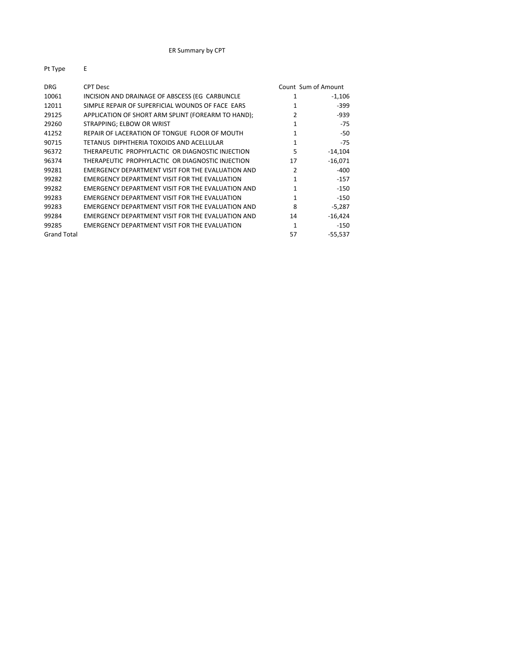| 1 . <i>.</i> PC    |                                                    |                     |           |
|--------------------|----------------------------------------------------|---------------------|-----------|
| <b>DRG</b>         | <b>CPT Desc</b>                                    | Count Sum of Amount |           |
| 10061              | INCISION AND DRAINAGE OF ABSCESS (EG CARBUNCLE     | 1                   | $-1,106$  |
| 12011              | SIMPLE REPAIR OF SUPERFICIAL WOUNDS OF FACE EARS   | $\mathbf{1}$        | $-399$    |
| 29125              | APPLICATION OF SHORT ARM SPLINT (FOREARM TO HAND); | 2                   | $-939$    |
| 29260              | STRAPPING; ELBOW OR WRIST                          | 1                   | $-75$     |
| 41252              | REPAIR OF LACERATION OF TONGUE FLOOR OF MOUTH      | 1                   | $-50$     |
| 90715              | TETANUS DIPHTHERIA TOXOIDS AND ACELLULAR           | 1                   | $-75$     |
| 96372              | THERAPEUTIC PROPHYLACTIC OR DIAGNOSTIC INJECTION   | 5                   | $-14,104$ |
| 96374              | THERAPEUTIC PROPHYLACTIC OR DIAGNOSTIC INJECTION   | 17                  | $-16,071$ |
| 99281              | EMERGENCY DEPARTMENT VISIT FOR THE EVALUATION AND  | $\mathcal{P}$       | $-400$    |
| 99282              | EMERGENCY DEPARTMENT VISIT FOR THE EVALUATION      | 1                   | $-157$    |
| 99282              | EMERGENCY DEPARTMENT VISIT FOR THE EVALUATION AND  | 1                   | $-150$    |
| 99283              | EMERGENCY DEPARTMENT VISIT FOR THE EVALUATION      | 1                   | $-150$    |
| 99283              | EMERGENCY DEPARTMENT VISIT FOR THE EVALUATION AND  | 8                   | $-5,287$  |
| 99284              | EMERGENCY DEPARTMENT VISIT FOR THE EVALUATION AND  | 14                  | $-16,424$ |
| 99285              | EMERGENCY DEPARTMENT VISIT FOR THE EVALUATION      | 1                   | $-150$    |
| <b>Grand Total</b> |                                                    | 57                  | $-55,537$ |
|                    |                                                    |                     |           |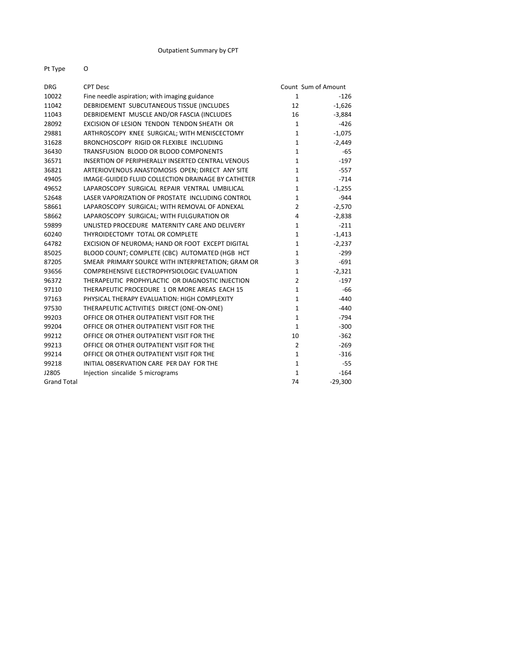#### Pt Type O

| <b>DRG</b>         | <b>CPT Desc</b>                                    |                | Count Sum of Amount |
|--------------------|----------------------------------------------------|----------------|---------------------|
| 10022              | Fine needle aspiration; with imaging guidance      | $\mathbf{1}$   | $-126$              |
| 11042              | DEBRIDEMENT SUBCUTANEOUS TISSUE (INCLUDES          | 12             | $-1,626$            |
| 11043              | DEBRIDEMENT MUSCLE AND/OR FASCIA (INCLUDES         | 16             | $-3,884$            |
| 28092              | EXCISION OF LESION TENDON TENDON SHEATH OR         | $\mathbf{1}$   | $-426$              |
| 29881              | ARTHROSCOPY KNEE SURGICAL; WITH MENISCECTOMY       | $\mathbf{1}$   | $-1,075$            |
| 31628              | BRONCHOSCOPY RIGID OR FLEXIBLE INCLUDING           | $\mathbf{1}$   | $-2,449$            |
| 36430              | TRANSFUSION BLOOD OR BLOOD COMPONENTS              | $\mathbf{1}$   | $-65$               |
| 36571              | INSERTION OF PERIPHERALLY INSERTED CENTRAL VENOUS  | $\mathbf{1}$   | $-197$              |
| 36821              | ARTERIOVENOUS ANASTOMOSIS OPEN; DIRECT ANY SITE    | $\mathbf{1}$   | $-557$              |
| 49405              | IMAGE-GUIDED FLUID COLLECTION DRAINAGE BY CATHETER | $\mathbf{1}$   | $-714$              |
| 49652              | LAPAROSCOPY SURGICAL REPAIR VENTRAL UMBILICAL      | $\mathbf{1}$   | $-1,255$            |
| 52648              | LASER VAPORIZATION OF PROSTATE INCLUDING CONTROL   | 1              | -944                |
| 58661              | LAPAROSCOPY SURGICAL; WITH REMOVAL OF ADNEXAL      | $\overline{2}$ | $-2,570$            |
| 58662              | LAPAROSCOPY SURGICAL; WITH FULGURATION OR          | 4              | $-2,838$            |
| 59899              | UNLISTED PROCEDURE MATERNITY CARE AND DELIVERY     | $\mathbf{1}$   | $-211$              |
| 60240              | THYROIDECTOMY TOTAL OR COMPLETE                    | $\mathbf{1}$   | $-1,413$            |
| 64782              | EXCISION OF NEUROMA; HAND OR FOOT EXCEPT DIGITAL   | $\mathbf{1}$   | $-2,237$            |
| 85025              | BLOOD COUNT; COMPLETE (CBC) AUTOMATED (HGB HCT     | 1              | $-299$              |
| 87205              | SMEAR PRIMARY SOURCE WITH INTERPRETATION; GRAM OR  | 3              | $-691$              |
| 93656              | COMPREHENSIVE ELECTROPHYSIOLOGIC EVALUATION        | $\mathbf{1}$   | $-2,321$            |
| 96372              | THERAPEUTIC PROPHYLACTIC OR DIAGNOSTIC INJECTION   | $\overline{2}$ | $-197$              |
| 97110              | THERAPEUTIC PROCEDURE 1 OR MORE AREAS EACH 15      | $\mathbf{1}$   | $-66$               |
| 97163              | PHYSICAL THERAPY EVALUATION: HIGH COMPLEXITY       | $\mathbf{1}$   | $-440$              |
| 97530              | THERAPEUTIC ACTIVITIES DIRECT (ONE-ON-ONE)         | $\mathbf{1}$   | $-440$              |
| 99203              | OFFICE OR OTHER OUTPATIENT VISIT FOR THE           | $\mathbf{1}$   | -794                |
| 99204              | OFFICE OR OTHER OUTPATIENT VISIT FOR THE           | $\mathbf{1}$   | $-300$              |
| 99212              | OFFICE OR OTHER OUTPATIENT VISIT FOR THE           | 10             | $-362$              |
| 99213              | OFFICE OR OTHER OUTPATIENT VISIT FOR THE           | $\overline{2}$ | $-269$              |
| 99214              | OFFICE OR OTHER OUTPATIENT VISIT FOR THE           | $\mathbf{1}$   | $-316$              |
| 99218              | INITIAL OBSERVATION CARE PER DAY FOR THE           | $\mathbf{1}$   | -55                 |
| J2805              | Injection sincalide 5 micrograms                   | $\mathbf{1}$   | $-164$              |
| <b>Grand Total</b> |                                                    | 74             | $-29,300$           |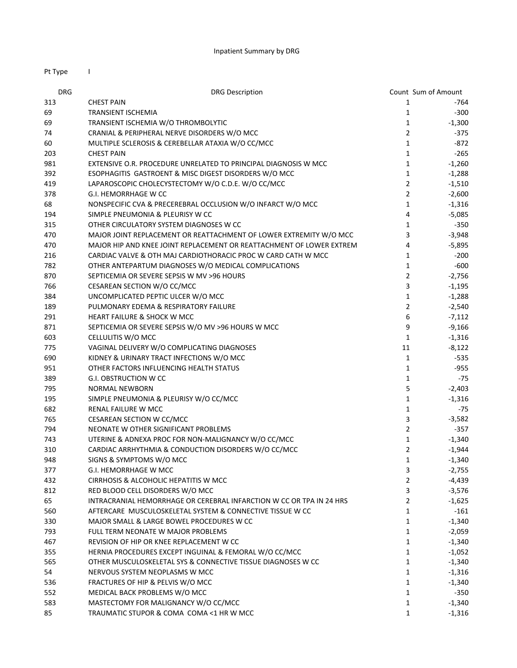| Pt Type    | $\mathbf{I}$                                                         |                     |          |
|------------|----------------------------------------------------------------------|---------------------|----------|
| <b>DRG</b> | <b>DRG Description</b>                                               | Count Sum of Amount |          |
| 313        | <b>CHEST PAIN</b>                                                    | $\mathbf{1}$        | -764     |
| 69         | <b>TRANSIENT ISCHEMIA</b>                                            | $\mathbf{1}$        | $-300$   |
| 69         | TRANSIENT ISCHEMIA W/O THROMBOLYTIC                                  | $\mathbf{1}$        | $-1,300$ |
| 74         | CRANIAL & PERIPHERAL NERVE DISORDERS W/O MCC                         | $\overline{2}$      | $-375$   |
| 60         | MULTIPLE SCLEROSIS & CEREBELLAR ATAXIA W/O CC/MCC                    | $\mathbf{1}$        | $-872$   |
| 203        | <b>CHEST PAIN</b>                                                    | $\mathbf{1}$        | $-265$   |
| 981        | EXTENSIVE O.R. PROCEDURE UNRELATED TO PRINCIPAL DIAGNOSIS W MCC      | $\mathbf{1}$        | $-1,260$ |
| 392        | ESOPHAGITIS GASTROENT & MISC DIGEST DISORDERS W/O MCC                | $\mathbf{1}$        | $-1,288$ |
| 419        | LAPAROSCOPIC CHOLECYSTECTOMY W/O C.D.E. W/O CC/MCC                   | $\overline{2}$      | $-1,510$ |
| 378        | G.I. HEMORRHAGE W CC                                                 | $\overline{2}$      | $-2,600$ |
| 68         | NONSPECIFIC CVA & PRECEREBRAL OCCLUSION W/O INFARCT W/O MCC          | $\mathbf{1}$        | $-1,316$ |
| 194        | SIMPLE PNEUMONIA & PLEURISY W CC                                     | 4                   | $-5,085$ |
| 315        | OTHER CIRCULATORY SYSTEM DIAGNOSES W CC                              | $\mathbf{1}$        | $-350$   |
| 470        | MAJOR JOINT REPLACEMENT OR REATTACHMENT OF LOWER EXTREMITY W/O MCC   | 3                   | $-3,948$ |
| 470        | MAJOR HIP AND KNEE JOINT REPLACEMENT OR REATTACHMENT OF LOWER EXTREM | 4                   | $-5,895$ |
| 216        | CARDIAC VALVE & OTH MAJ CARDIOTHORACIC PROC W CARD CATH W MCC        | $\mathbf{1}$        | $-200$   |
| 782        | OTHER ANTEPARTUM DIAGNOSES W/O MEDICAL COMPLICATIONS                 | $\mathbf{1}$        | $-600$   |
| 870        | SEPTICEMIA OR SEVERE SEPSIS W MV >96 HOURS                           | $\overline{2}$      | $-2,756$ |
| 766        | CESAREAN SECTION W/O CC/MCC                                          | 3                   | $-1,195$ |
| 384        | UNCOMPLICATED PEPTIC ULCER W/O MCC                                   | $\mathbf{1}$        | $-1,288$ |
| 189        | PULMONARY EDEMA & RESPIRATORY FAILURE                                | $\overline{2}$      | $-2,540$ |
| 291        | <b>HEART FAILURE &amp; SHOCK W MCC</b>                               | 6                   | $-7,112$ |
| 871        | SEPTICEMIA OR SEVERE SEPSIS W/O MV >96 HOURS W MCC                   | 9                   | $-9,166$ |
| 603        | CELLULITIS W/O MCC                                                   | $\mathbf{1}$        | $-1,316$ |
| 775        | VAGINAL DELIVERY W/O COMPLICATING DIAGNOSES                          | 11                  | $-8,122$ |
| 690        | KIDNEY & URINARY TRACT INFECTIONS W/O MCC                            | $\mathbf{1}$        | -535     |
| 951        | OTHER FACTORS INFLUENCING HEALTH STATUS                              | $\mathbf{1}$        | $-955$   |
| 389        | <b>G.I. OBSTRUCTION W CC</b>                                         | $\mathbf{1}$        | $-75$    |
| 795        | <b>NORMAL NEWBORN</b>                                                | 5                   | $-2,403$ |
| 195        | SIMPLE PNEUMONIA & PLEURISY W/O CC/MCC                               | $\mathbf{1}$        | $-1,316$ |
| 682        | RENAL FAILURE W MCC                                                  | $\mathbf{1}$        | -75      |
| 765        | CESAREAN SECTION W CC/MCC                                            | 3                   | $-3,582$ |
| 794        | NEONATE W OTHER SIGNIFICANT PROBLEMS                                 | $\overline{2}$      | $-357$   |
| 743        | UTERINE & ADNEXA PROC FOR NON-MALIGNANCY W/O CC/MCC                  | $\mathbf{1}$        | $-1,340$ |
| 310        | CARDIAC ARRHYTHMIA & CONDUCTION DISORDERS W/O CC/MCC                 | $\overline{2}$      | -1,944   |
| 948        | SIGNS & SYMPTOMS W/O MCC                                             | $\mathbf{1}$        | $-1,340$ |
| 377        | G.I. HEMORRHAGE W MCC                                                | 3                   | $-2,755$ |
| 432        | CIRRHOSIS & ALCOHOLIC HEPATITIS W MCC                                | $\overline{2}$      | $-4,439$ |
| 812        | RED BLOOD CELL DISORDERS W/O MCC                                     | 3                   | $-3,576$ |
| 65         | INTRACRANIAL HEMORRHAGE OR CEREBRAL INFARCTION W CC OR TPA IN 24 HRS | $\overline{2}$      | $-1,625$ |
| 560        | AFTERCARE MUSCULOSKELETAL SYSTEM & CONNECTIVE TISSUE W CC            | $\mathbf{1}$        | $-161$   |
| 330        | MAJOR SMALL & LARGE BOWEL PROCEDURES W CC                            | $\mathbf{1}$        | $-1,340$ |
| 793        | FULL TERM NEONATE W MAJOR PROBLEMS                                   | $\mathbf{1}$        | $-2,059$ |
| 467        | REVISION OF HIP OR KNEE REPLACEMENT W CC                             | $\mathbf{1}$        | $-1,340$ |
| 355        | HERNIA PROCEDURES EXCEPT INGUINAL & FEMORAL W/O CC/MCC               | $\mathbf{1}$        | $-1,052$ |
| 565        | OTHER MUSCULOSKELETAL SYS & CONNECTIVE TISSUE DIAGNOSES W CC         | $\mathbf{1}$        | $-1,340$ |
| 54         | NERVOUS SYSTEM NEOPLASMS W MCC                                       | $\mathbf{1}$        | $-1,316$ |
| 536        | FRACTURES OF HIP & PELVIS W/O MCC                                    | $\mathbf{1}$        | $-1,340$ |
| 552        | MEDICAL BACK PROBLEMS W/O MCC                                        | $\mathbf{1}$        | $-350$   |
| 583        | MASTECTOMY FOR MALIGNANCY W/O CC/MCC                                 | $\mathbf{1}$        | $-1,340$ |
| 85         | TRAUMATIC STUPOR & COMA COMA <1 HR W MCC                             | $\mathbf{1}$        | $-1,316$ |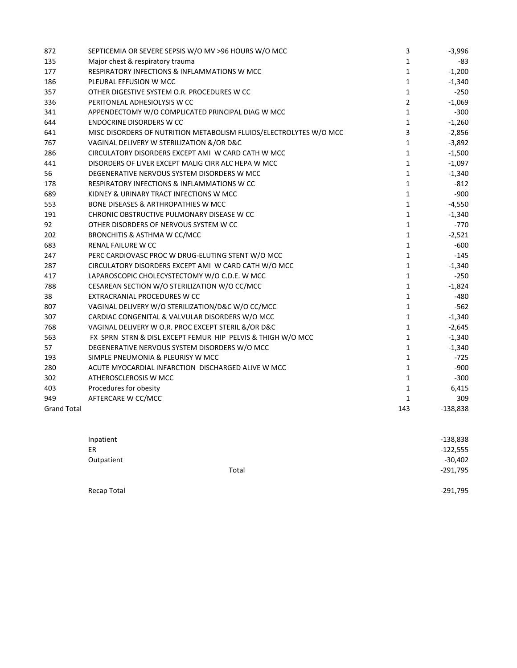| 872                | SEPTICEMIA OR SEVERE SEPSIS W/O MV >96 HOURS W/O MCC               | 3              | $-3,996$   |
|--------------------|--------------------------------------------------------------------|----------------|------------|
| 135                | Major chest & respiratory trauma                                   | $\mathbf{1}$   | -83        |
| 177                | RESPIRATORY INFECTIONS & INFLAMMATIONS W MCC                       | $\mathbf{1}$   | $-1,200$   |
| 186                | PLEURAL EFFUSION W MCC                                             | $\mathbf{1}$   | $-1,340$   |
| 357                | OTHER DIGESTIVE SYSTEM O.R. PROCEDURES W CC                        | $\mathbf{1}$   | $-250$     |
| 336                | PERITONEAL ADHESIOLYSIS W CC                                       | $\overline{2}$ | $-1,069$   |
| 341                | APPENDECTOMY W/O COMPLICATED PRINCIPAL DIAG W MCC                  | $\mathbf{1}$   | $-300$     |
| 644                | <b>ENDOCRINE DISORDERS W CC</b>                                    | $\mathbf{1}$   | $-1,260$   |
| 641                | MISC DISORDERS OF NUTRITION METABOLISM FLUIDS/ELECTROLYTES W/O MCC | 3              | $-2,856$   |
| 767                | VAGINAL DELIVERY W STERILIZATION &/OR D&C                          | $\mathbf{1}$   | $-3,892$   |
| 286                | CIRCULATORY DISORDERS EXCEPT AMI W CARD CATH W MCC                 | $\mathbf{1}$   | $-1,500$   |
| 441                | DISORDERS OF LIVER EXCEPT MALIG CIRR ALC HEPA W MCC                | $\mathbf{1}$   | $-1,097$   |
| 56                 | DEGENERATIVE NERVOUS SYSTEM DISORDERS W MCC                        | $\mathbf{1}$   | $-1,340$   |
| 178                | RESPIRATORY INFECTIONS & INFLAMMATIONS W CC                        | $\mathbf{1}$   | $-812$     |
| 689                | KIDNEY & URINARY TRACT INFECTIONS W MCC                            | $\mathbf{1}$   | $-900$     |
| 553                | <b>BONE DISEASES &amp; ARTHROPATHIES W MCC</b>                     | $\mathbf{1}$   | $-4,550$   |
| 191                | CHRONIC OBSTRUCTIVE PULMONARY DISEASE W CC                         | $\mathbf{1}$   | $-1,340$   |
| 92                 | OTHER DISORDERS OF NERVOUS SYSTEM W CC                             | $\mathbf{1}$   | $-770$     |
| 202                | BRONCHITIS & ASTHMA W CC/MCC                                       | $\mathbf{1}$   | $-2,521$   |
| 683                | <b>RENAL FAILURE W CC</b>                                          | $\mathbf{1}$   | $-600$     |
| 247                | PERC CARDIOVASC PROC W DRUG-ELUTING STENT W/O MCC                  | $\mathbf{1}$   | $-145$     |
| 287                | CIRCULATORY DISORDERS EXCEPT AMI W CARD CATH W/O MCC               | $\mathbf{1}$   | $-1,340$   |
| 417                | LAPAROSCOPIC CHOLECYSTECTOMY W/O C.D.E. W MCC                      | $\mathbf{1}$   | $-250$     |
| 788                | CESAREAN SECTION W/O STERILIZATION W/O CC/MCC                      | $\mathbf{1}$   | $-1,824$   |
| 38                 | EXTRACRANIAL PROCEDURES W CC                                       | $\mathbf{1}$   | $-480$     |
| 807                | VAGINAL DELIVERY W/O STERILIZATION/D&C W/O CC/MCC                  | $\mathbf{1}$   | $-562$     |
| 307                | CARDIAC CONGENITAL & VALVULAR DISORDERS W/O MCC                    | $\mathbf{1}$   | $-1,340$   |
| 768                | VAGINAL DELIVERY W O.R. PROC EXCEPT STERIL &/OR D&C                | $\mathbf{1}$   | $-2,645$   |
| 563                | FX SPRN STRN & DISL EXCEPT FEMUR HIP PELVIS & THIGH W/O MCC        | $\mathbf{1}$   | $-1,340$   |
| 57                 | DEGENERATIVE NERVOUS SYSTEM DISORDERS W/O MCC                      | $\mathbf{1}$   | $-1,340$   |
| 193                | SIMPLE PNEUMONIA & PLEURISY W MCC                                  | $\mathbf{1}$   | $-725$     |
| 280                | ACUTE MYOCARDIAL INFARCTION DISCHARGED ALIVE W MCC                 | $\mathbf{1}$   | $-900$     |
| 302                | ATHEROSCLEROSIS W MCC                                              | $\mathbf{1}$   | $-300$     |
| 403                | Procedures for obesity                                             | $\mathbf{1}$   | 6,415      |
| 949                | AFTERCARE W CC/MCC                                                 | $\mathbf{1}$   | 309        |
| <b>Grand Total</b> |                                                                    | 143            | $-138,838$ |

| Inpatient  |       | $-138,838$ |
|------------|-------|------------|
| ER         |       | $-122,555$ |
| Outpatient |       | $-30,402$  |
|            | Total | $-291,795$ |
|            |       |            |

Recap Total **Figure 201,795 •**291,795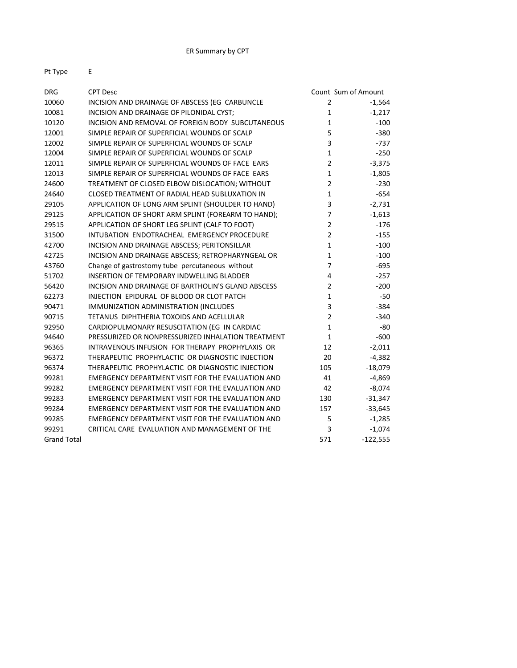| <b>DRG</b>         | <b>CPT Desc</b>                                    |                | Count Sum of Amount |
|--------------------|----------------------------------------------------|----------------|---------------------|
| 10060              | INCISION AND DRAINAGE OF ABSCESS (EG CARBUNCLE     | $\overline{2}$ | $-1,564$            |
| 10081              | INCISION AND DRAINAGE OF PILONIDAL CYST;           | $\mathbf{1}$   | $-1,217$            |
| 10120              | INCISION AND REMOVAL OF FOREIGN BODY SUBCUTANEOUS  | $\mathbf{1}$   | $-100$              |
| 12001              | SIMPLE REPAIR OF SUPERFICIAL WOUNDS OF SCALP       | 5              | $-380$              |
| 12002              | SIMPLE REPAIR OF SUPERFICIAL WOUNDS OF SCALP       | 3              | $-737$              |
| 12004              | SIMPLE REPAIR OF SUPERFICIAL WOUNDS OF SCALP       | $\mathbf 1$    | $-250$              |
| 12011              | SIMPLE REPAIR OF SUPERFICIAL WOUNDS OF FACE EARS   | $\overline{2}$ | $-3,375$            |
| 12013              | SIMPLE REPAIR OF SUPERFICIAL WOUNDS OF FACE EARS   | $\mathbf{1}$   | $-1,805$            |
| 24600              | TREATMENT OF CLOSED ELBOW DISLOCATION; WITHOUT     | $\overline{2}$ | $-230$              |
| 24640              | CLOSED TREATMENT OF RADIAL HEAD SUBLUXATION IN     | $\mathbf{1}$   | $-654$              |
| 29105              | APPLICATION OF LONG ARM SPLINT (SHOULDER TO HAND)  | 3              | $-2,731$            |
| 29125              | APPLICATION OF SHORT ARM SPLINT (FOREARM TO HAND); | $\overline{7}$ | $-1,613$            |
| 29515              | APPLICATION OF SHORT LEG SPLINT (CALF TO FOOT)     | $\overline{2}$ | $-176$              |
| 31500              | INTUBATION ENDOTRACHEAL EMERGENCY PROCEDURE        | $\overline{2}$ | $-155$              |
| 42700              | INCISION AND DRAINAGE ABSCESS; PERITONSILLAR       | $\mathbf{1}$   | $-100$              |
| 42725              | INCISION AND DRAINAGE ABSCESS; RETROPHARYNGEAL OR  | $\mathbf{1}$   | $-100$              |
| 43760              | Change of gastrostomy tube percutaneous without    | $\overline{7}$ | $-695$              |
| 51702              | <b>INSERTION OF TEMPORARY INDWELLING BLADDER</b>   | 4              | $-257$              |
| 56420              | INCISION AND DRAINAGE OF BARTHOLIN'S GLAND ABSCESS | $\overline{2}$ | $-200$              |
| 62273              | INJECTION EPIDURAL OF BLOOD OR CLOT PATCH          | $\mathbf{1}$   | $-50$               |
| 90471              | IMMUNIZATION ADMINISTRATION (INCLUDES              | 3              | $-384$              |
| 90715              | TETANUS DIPHTHERIA TOXOIDS AND ACELLULAR           | $\overline{2}$ | $-340$              |
| 92950              | CARDIOPULMONARY RESUSCITATION (EG IN CARDIAC       | $\mathbf{1}$   | -80                 |
| 94640              | PRESSURIZED OR NONPRESSURIZED INHALATION TREATMENT | $\mathbf{1}$   | $-600$              |
| 96365              | INTRAVENOUS INFUSION FOR THERAPY PROPHYLAXIS OR    | 12             | $-2,011$            |
| 96372              | THERAPEUTIC PROPHYLACTIC OR DIAGNOSTIC INJECTION   | 20             | $-4,382$            |
| 96374              | THERAPEUTIC PROPHYLACTIC OR DIAGNOSTIC INJECTION   | 105            | $-18,079$           |
| 99281              | EMERGENCY DEPARTMENT VISIT FOR THE EVALUATION AND  | 41             | $-4,869$            |
| 99282              | EMERGENCY DEPARTMENT VISIT FOR THE EVALUATION AND  | 42             | $-8,074$            |
| 99283              | EMERGENCY DEPARTMENT VISIT FOR THE EVALUATION AND  | 130            | $-31,347$           |
| 99284              | EMERGENCY DEPARTMENT VISIT FOR THE EVALUATION AND  | 157            | $-33,645$           |
| 99285              | EMERGENCY DEPARTMENT VISIT FOR THE EVALUATION AND  | 5              | $-1,285$            |
| 99291              | CRITICAL CARE EVALUATION AND MANAGEMENT OF THE     | 3              | $-1,074$            |
| <b>Grand Total</b> |                                                    | 571            | $-122,555$          |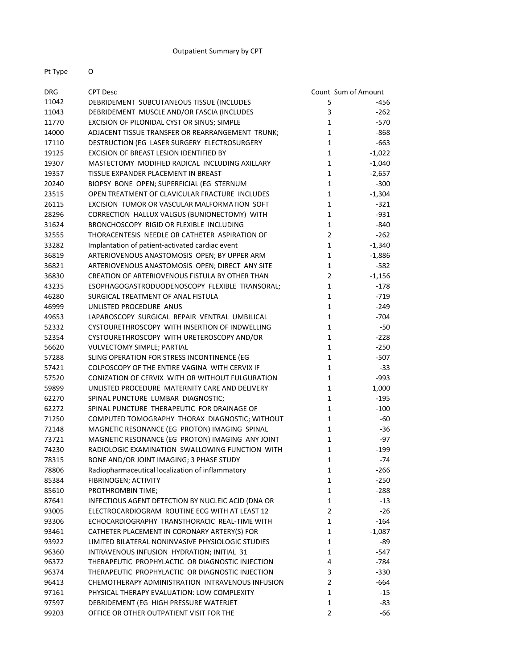### Outpatient Summary by CPT

Pt Type O

| <b>DRG</b> | <b>CPT Desc</b>                                    |                | Count Sum of Amount |
|------------|----------------------------------------------------|----------------|---------------------|
| 11042      | DEBRIDEMENT SUBCUTANEOUS TISSUE (INCLUDES          | 5              | -456                |
| 11043      | DEBRIDEMENT MUSCLE AND/OR FASCIA (INCLUDES         | 3              | $-262$              |
| 11770      | EXCISION OF PILONIDAL CYST OR SINUS; SIMPLE        | $\mathbf{1}$   | $-570$              |
| 14000      | ADJACENT TISSUE TRANSFER OR REARRANGEMENT TRUNK;   | $\mathbf{1}$   | -868                |
| 17110      | DESTRUCTION (EG LASER SURGERY ELECTROSURGERY       | $\mathbf{1}$   | $-663$              |
| 19125      | EXCISION OF BREAST LESION IDENTIFIED BY            | $\mathbf{1}$   | $-1,022$            |
| 19307      | MASTECTOMY MODIFIED RADICAL INCLUDING AXILLARY     | $\mathbf{1}$   | $-1,040$            |
| 19357      | TISSUE EXPANDER PLACEMENT IN BREAST                | $\mathbf{1}$   | $-2,657$            |
| 20240      | BIOPSY BONE OPEN; SUPERFICIAL (EG STERNUM          | $\mathbf{1}$   | $-300$              |
| 23515      | OPEN TREATMENT OF CLAVICULAR FRACTURE INCLUDES     | $\mathbf{1}$   | $-1,304$            |
| 26115      | EXCISION TUMOR OR VASCULAR MALFORMATION SOFT       | $\mathbf{1}$   | $-321$              |
| 28296      | CORRECTION HALLUX VALGUS (BUNIONECTOMY) WITH       | $\mathbf{1}$   | $-931$              |
| 31624      | BRONCHOSCOPY RIGID OR FLEXIBLE INCLUDING           | $\mathbf{1}$   | $-840$              |
| 32555      | THORACENTESIS NEEDLE OR CATHETER ASPIRATION OF     | $\overline{2}$ | $-262$              |
| 33282      | Implantation of patient-activated cardiac event    | $\mathbf{1}$   | $-1,340$            |
| 36819      | ARTERIOVENOUS ANASTOMOSIS OPEN; BY UPPER ARM       | $\mathbf{1}$   | $-1,886$            |
| 36821      | ARTERIOVENOUS ANASTOMOSIS OPEN; DIRECT ANY SITE    | $\mathbf{1}$   | $-582$              |
| 36830      | CREATION OF ARTERIOVENOUS FISTULA BY OTHER THAN    | $\overline{2}$ | $-1,156$            |
| 43235      | ESOPHAGOGASTRODUODENOSCOPY FLEXIBLE TRANSORAL;     | $\mathbf{1}$   | $-178$              |
| 46280      | SURGICAL TREATMENT OF ANAL FISTULA                 | $\mathbf{1}$   | $-719$              |
| 46999      | UNLISTED PROCEDURE ANUS                            | $\mathbf{1}$   | $-249$              |
| 49653      | LAPAROSCOPY SURGICAL REPAIR VENTRAL UMBILICAL      | $\mathbf{1}$   | $-704$              |
| 52332      | CYSTOURETHROSCOPY WITH INSERTION OF INDWELLING     | $\mathbf{1}$   | $-50$               |
| 52354      | CYSTOURETHROSCOPY WITH URETEROSCOPY AND/OR         | $\mathbf{1}$   | $-228$              |
| 56620      | VULVECTOMY SIMPLE; PARTIAL                         | $\mathbf{1}$   | $-250$              |
| 57288      | SLING OPERATION FOR STRESS INCONTINENCE (EG        | $\mathbf{1}$   | $-507$              |
| 57421      | COLPOSCOPY OF THE ENTIRE VAGINA WITH CERVIX IF     | $\mathbf{1}$   | $-33$               |
| 57520      | CONIZATION OF CERVIX WITH OR WITHOUT FULGURATION   | $\mathbf{1}$   | $-993$              |
| 59899      | UNLISTED PROCEDURE MATERNITY CARE AND DELIVERY     | $\mathbf{1}$   | 1,000               |
| 62270      | SPINAL PUNCTURE LUMBAR DIAGNOSTIC;                 | $\mathbf{1}$   | $-195$              |
| 62272      | SPINAL PUNCTURE THERAPEUTIC FOR DRAINAGE OF        | $\mathbf{1}$   | $-100$              |
| 71250      | COMPUTED TOMOGRAPHY THORAX DIAGNOSTIC; WITHOUT     | $\mathbf{1}$   | -60                 |
| 72148      | MAGNETIC RESONANCE (EG PROTON) IMAGING SPINAL      | $\mathbf{1}$   | $-36$               |
| 73721      | MAGNETIC RESONANCE (EG PROTON) IMAGING ANY JOINT   | $\mathbf{1}$   | $-97$               |
| 74230      | RADIOLOGIC EXAMINATION SWALLOWING FUNCTION WITH    | $\mathbf{1}$   | $-199$              |
| 78315      | BONE AND/OR JOINT IMAGING; 3 PHASE STUDY           | $\mathbf{1}$   | $-74$               |
| 78806      | Radiopharmaceutical localization of inflammatory   | 1              | $-266$              |
| 85384      | FIBRINOGEN; ACTIVITY                               | 1              | $-250$              |
| 85610      | PROTHROMBIN TIME;                                  | $\mathbf{1}$   | $-288$              |
| 87641      | INFECTIOUS AGENT DETECTION BY NUCLEIC ACID (DNA OR | $\mathbf{1}$   | $-13$               |
| 93005      | ELECTROCARDIOGRAM ROUTINE ECG WITH AT LEAST 12     | $\overline{2}$ | $-26$               |
| 93306      | ECHOCARDIOGRAPHY TRANSTHORACIC REAL-TIME WITH      | $\mathbf{1}$   | $-164$              |
| 93461      | CATHETER PLACEMENT IN CORONARY ARTERY(S) FOR       | $\mathbf{1}$   | $-1,087$            |
| 93922      | LIMITED BILATERAL NONINVASIVE PHYSIOLOGIC STUDIES  | $\mathbf{1}$   | -89                 |
| 96360      | INTRAVENOUS INFUSION HYDRATION; INITIAL 31         | $\mathbf{1}$   | $-547$              |
| 96372      | THERAPEUTIC PROPHYLACTIC OR DIAGNOSTIC INJECTION   | 4              | -784                |
| 96374      | THERAPEUTIC PROPHYLACTIC OR DIAGNOSTIC INJECTION   | 3              | $-330$              |
| 96413      | CHEMOTHERAPY ADMINISTRATION INTRAVENOUS INFUSION   | $\overline{2}$ | -664                |
| 97161      | PHYSICAL THERAPY EVALUATION: LOW COMPLEXITY        | 1              | -15                 |
| 97597      | DEBRIDEMENT (EG HIGH PRESSURE WATERJET             | $\mathbf{1}$   | -83                 |
| 99203      | OFFICE OR OTHER OUTPATIENT VISIT FOR THE           | 2              | -66                 |
|            |                                                    |                |                     |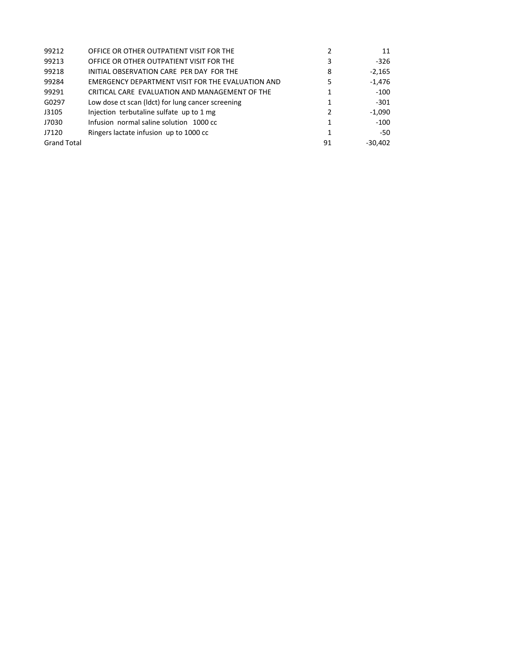| 99212              | OFFICE OR OTHER OUTPATIENT VISIT FOR THE          |    | 11        |
|--------------------|---------------------------------------------------|----|-----------|
| 99213              | OFFICE OR OTHER OUTPATIENT VISIT FOR THE          | 3  | -326      |
| 99218              | INITIAL OBSERVATION CARE PER DAY FOR THE          | 8  | $-2,165$  |
| 99284              | EMERGENCY DEPARTMENT VISIT FOR THE EVALUATION AND | 5  | $-1,476$  |
| 99291              | CRITICAL CARE EVALUATION AND MANAGEMENT OF THE    |    | $-100$    |
| G0297              | Low dose ct scan (ldct) for lung cancer screening | 1  | $-301$    |
| J3105              | Injection terbutaline sulfate up to 1 mg          | 2  | $-1,090$  |
| J7030              | Infusion normal saline solution 1000 cc           |    | $-100$    |
| J7120              | Ringers lactate infusion up to 1000 cc            |    | -50       |
| <b>Grand Total</b> |                                                   | 91 | $-30,402$ |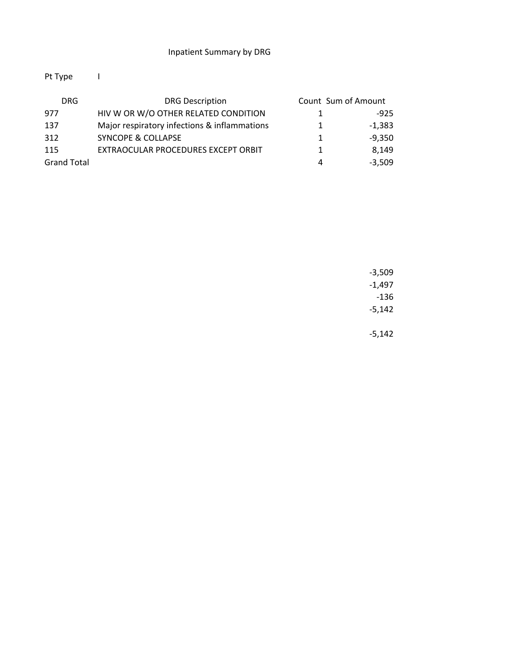# Pt Type I

| DRG.               | <b>DRG Description</b>                       | Count Sum of Amount |          |
|--------------------|----------------------------------------------|---------------------|----------|
| 977                | HIV W OR W/O OTHER RELATED CONDITION         |                     | $-925$   |
| 137                | Major respiratory infections & inflammations |                     | $-1,383$ |
| 312                | <b>SYNCOPE &amp; COLLAPSE</b>                | 1                   | $-9.350$ |
| 115                | EXTRAOCULAR PROCEDURES EXCEPT ORBIT          |                     | 8.149    |
| <b>Grand Total</b> |                                              | 4                   | $-3.509$ |

‐3,509 ‐1,497 ‐136 ‐5,142

‐5,142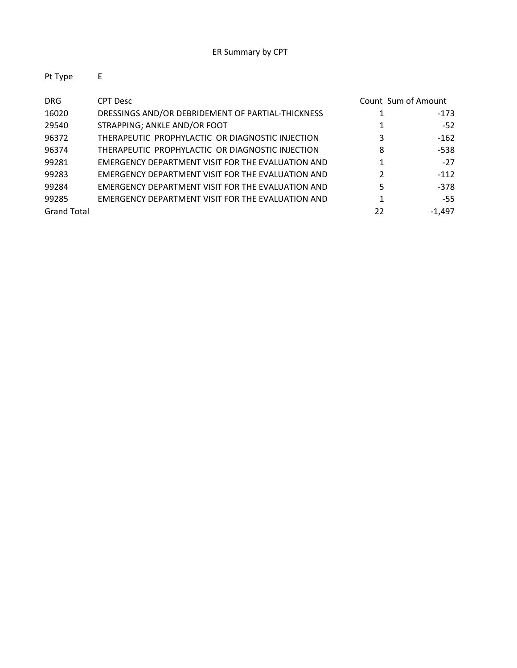| Pt Type            | E                                                        |    |                     |
|--------------------|----------------------------------------------------------|----|---------------------|
| <b>DRG</b>         | <b>CPT Desc</b>                                          |    | Count Sum of Amount |
| 16020              | DRESSINGS AND/OR DEBRIDEMENT OF PARTIAL-THICKNESS        |    | $-173$              |
| 29540              | STRAPPING; ANKLE AND/OR FOOT                             |    | $-52$               |
| 96372              | THERAPEUTIC PROPHYLACTIC OR DIAGNOSTIC INJECTION         | 3  | $-162$              |
| 96374              | THERAPEUTIC PROPHYLACTIC OR DIAGNOSTIC INJECTION         | 8  | -538                |
| 99281              | <b>EMERGENCY DEPARTMENT VISIT FOR THE EVALUATION AND</b> |    | $-27$               |
| 99283              | EMERGENCY DEPARTMENT VISIT FOR THE EVALUATION AND        | 2  | $-112$              |
| 99284              | EMERGENCY DEPARTMENT VISIT FOR THE EVALUATION AND        | 5  | $-378$              |
| 99285              | EMERGENCY DEPARTMENT VISIT FOR THE EVALUATION AND        |    | $-55$               |
| <b>Grand Total</b> |                                                          | 22 | $-1.497$            |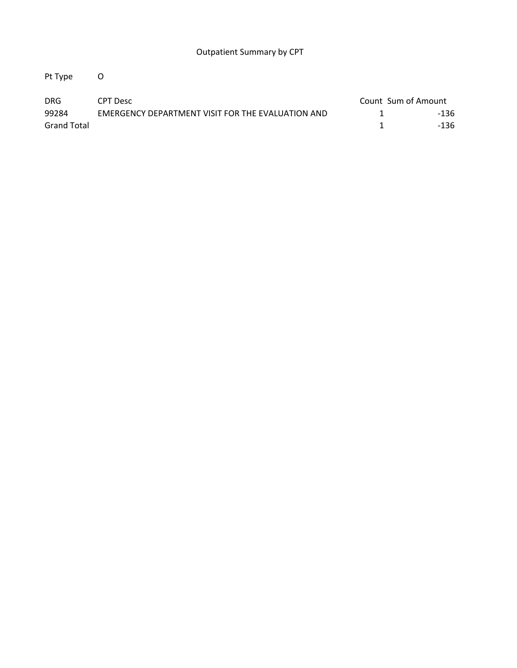Pt Type O

| <b>DRG</b>  | CPT Desc                                          | Count Sum of Amount |      |
|-------------|---------------------------------------------------|---------------------|------|
| 99284       | EMERGENCY DEPARTMENT VISIT FOR THE EVALUATION AND |                     | -136 |
| Grand Total |                                                   |                     | -136 |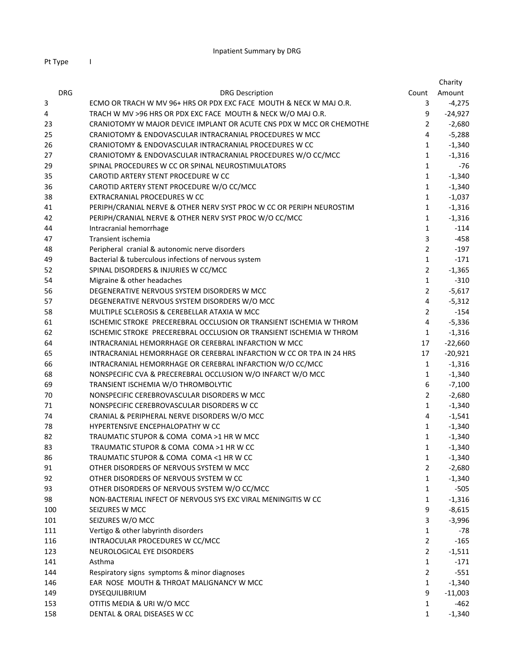Pt Type I

|            |                                                                      |                | Charity   |
|------------|----------------------------------------------------------------------|----------------|-----------|
| <b>DRG</b> | <b>DRG Description</b>                                               | Count          | Amount    |
| 3          | ECMO OR TRACH W MV 96+ HRS OR PDX EXC FACE MOUTH & NECK W MAJ O.R.   | 3              | $-4,275$  |
| 4          | TRACH W MV >96 HRS OR PDX EXC FACE MOUTH & NECK W/O MAJ O.R.         | 9              | $-24,927$ |
| 23         | CRANIOTOMY W MAJOR DEVICE IMPLANT OR ACUTE CNS PDX W MCC OR CHEMOTHE | $\overline{2}$ | $-2,680$  |
| 25         | CRANIOTOMY & ENDOVASCULAR INTRACRANIAL PROCEDURES W MCC              | 4              | $-5,288$  |
| 26         | CRANIOTOMY & ENDOVASCULAR INTRACRANIAL PROCEDURES W CC               | $\mathbf{1}$   | $-1,340$  |
| 27         | CRANIOTOMY & ENDOVASCULAR INTRACRANIAL PROCEDURES W/O CC/MCC         | $\mathbf{1}$   | $-1,316$  |
| 29         | SPINAL PROCEDURES W CC OR SPINAL NEUROSTIMULATORS                    | $\mathbf{1}$   | $-76$     |
| 35         | CAROTID ARTERY STENT PROCEDURE W CC                                  | $\mathbf{1}$   | $-1,340$  |
| 36         | CAROTID ARTERY STENT PROCEDURE W/O CC/MCC                            | $\mathbf{1}$   | $-1,340$  |
| 38         | EXTRACRANIAL PROCEDURES W CC                                         | $\mathbf{1}$   | $-1,037$  |
| 41         | PERIPH/CRANIAL NERVE & OTHER NERV SYST PROC W CC OR PERIPH NEUROSTIM | $\mathbf{1}$   | $-1,316$  |
| 42         | PERIPH/CRANIAL NERVE & OTHER NERV SYST PROC W/O CC/MCC               | 1              | $-1,316$  |
| 44         | Intracranial hemorrhage                                              | 1              | $-114$    |
| 47         | Transient ischemia                                                   | 3              | $-458$    |
| 48         | Peripheral cranial & autonomic nerve disorders                       | $\overline{2}$ | $-197$    |
| 49         | Bacterial & tuberculous infections of nervous system                 | $\mathbf{1}$   | $-171$    |
| 52         | SPINAL DISORDERS & INJURIES W CC/MCC                                 | $\overline{2}$ | $-1,365$  |
| 54         | Migraine & other headaches                                           | $\mathbf{1}$   | $-310$    |
| 56         | DEGENERATIVE NERVOUS SYSTEM DISORDERS W MCC                          | $\overline{2}$ | $-5,617$  |
| 57         | DEGENERATIVE NERVOUS SYSTEM DISORDERS W/O MCC                        | 4              | $-5,312$  |
| 58         | MULTIPLE SCLEROSIS & CEREBELLAR ATAXIA W MCC                         | $\overline{2}$ | $-154$    |
| 61         | ISCHEMIC STROKE PRECEREBRAL OCCLUSION OR TRANSIENT ISCHEMIA W THROM  | $\overline{4}$ | $-5,336$  |
| 62         | ISCHEMIC STROKE PRECEREBRAL OCCLUSION OR TRANSIENT ISCHEMIA W THROM  | $\mathbf{1}$   | $-1,316$  |
| 64         | INTRACRANIAL HEMORRHAGE OR CEREBRAL INFARCTION W MCC                 | 17             | $-22,660$ |
| 65         | INTRACRANIAL HEMORRHAGE OR CEREBRAL INFARCTION W CC OR TPA IN 24 HRS | 17             | $-20,921$ |
| 66         | INTRACRANIAL HEMORRHAGE OR CEREBRAL INFARCTION W/O CC/MCC            | $\mathbf{1}$   | $-1,316$  |
| 68         | NONSPECIFIC CVA & PRECEREBRAL OCCLUSION W/O INFARCT W/O MCC          | $\mathbf{1}$   | $-1,340$  |
| 69         | TRANSIENT ISCHEMIA W/O THROMBOLYTIC                                  | 6              | $-7,100$  |
| 70         | NONSPECIFIC CEREBROVASCULAR DISORDERS W MCC                          | $\overline{2}$ | $-2,680$  |
| 71         | NONSPECIFIC CEREBROVASCULAR DISORDERS W CC                           | $\mathbf{1}$   | $-1,340$  |
| 74         | CRANIAL & PERIPHERAL NERVE DISORDERS W/O MCC                         | 4              | $-1,541$  |
| 78         | HYPERTENSIVE ENCEPHALOPATHY W CC                                     | $\mathbf{1}$   | $-1,340$  |
| 82         | TRAUMATIC STUPOR & COMA COMA >1 HR W MCC                             | $\mathbf{1}$   | $-1,340$  |
| 83         | TRAUMATIC STUPOR & COMA COMA >1 HR W CC                              | $\mathbf{1}$   | $-1,340$  |
| 86         | TRAUMATIC STUPOR & COMA COMA <1 HR W CC                              | 1              | $-1,340$  |
| 91         | OTHER DISORDERS OF NERVOUS SYSTEM W MCC                              | 2              | $-2,680$  |
| 92         | OTHER DISORDERS OF NERVOUS SYSTEM W CC                               | $\mathbf{1}$   | $-1,340$  |
| 93         | OTHER DISORDERS OF NERVOUS SYSTEM W/O CC/MCC                         | 1              | $-505$    |
| 98         | NON-BACTERIAL INFECT OF NERVOUS SYS EXC VIRAL MENINGITIS W CC        | 1              | $-1,316$  |
| 100        | SEIZURES W MCC                                                       | 9              | $-8,615$  |
| 101        | SEIZURES W/O MCC                                                     | 3              | $-3,996$  |
| 111        | Vertigo & other labyrinth disorders                                  | $\mathbf{1}$   | -78       |
| 116        | INTRAOCULAR PROCEDURES W CC/MCC                                      | $\overline{2}$ | $-165$    |
| 123        | NEUROLOGICAL EYE DISORDERS                                           | $\overline{2}$ | $-1,511$  |
| 141        | Asthma                                                               | $\mathbf{1}$   | $-171$    |
| 144        | Respiratory signs symptoms & minor diagnoses                         | $\overline{2}$ | $-551$    |
| 146        | EAR NOSE MOUTH & THROAT MALIGNANCY W MCC                             | $\mathbf{1}$   | $-1,340$  |
| 149        | <b>DYSEQUILIBRIUM</b>                                                | 9              | $-11,003$ |
| 153        | OTITIS MEDIA & URI W/O MCC                                           | 1              | $-462$    |
| 158        | DENTAL & ORAL DISEASES W CC                                          | $\mathbf{1}$   | $-1,340$  |
|            |                                                                      |                |           |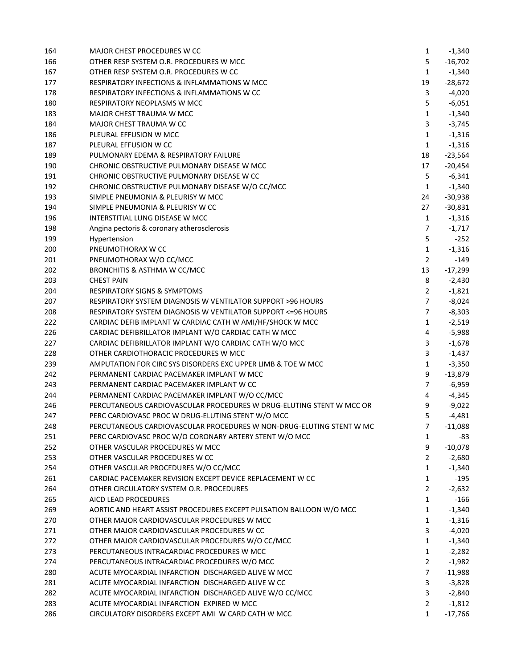| 164 | <b>MAJOR CHEST PROCEDURES W CC</b>                                      | $\mathbf{1}$   | $-1,340$  |
|-----|-------------------------------------------------------------------------|----------------|-----------|
| 166 | OTHER RESP SYSTEM O.R. PROCEDURES W MCC                                 | 5              | $-16,702$ |
| 167 | OTHER RESP SYSTEM O.R. PROCEDURES W CC                                  | 1              | $-1,340$  |
| 177 | RESPIRATORY INFECTIONS & INFLAMMATIONS W MCC                            | 19             | $-28,672$ |
| 178 | <b>RESPIRATORY INFECTIONS &amp; INFLAMMATIONS W CC</b>                  | 3              | $-4,020$  |
| 180 | RESPIRATORY NEOPLASMS W MCC                                             | 5              | $-6,051$  |
| 183 | MAJOR CHEST TRAUMA W MCC                                                | $\mathbf{1}$   | $-1,340$  |
| 184 | MAJOR CHEST TRAUMA W CC                                                 | 3              | $-3,745$  |
| 186 | PLEURAL EFFUSION W MCC                                                  | $\mathbf{1}$   | $-1,316$  |
| 187 | PLEURAL EFFUSION W CC                                                   | $\mathbf{1}$   | $-1,316$  |
| 189 | PULMONARY EDEMA & RESPIRATORY FAILURE                                   | 18             | $-23,564$ |
| 190 | CHRONIC OBSTRUCTIVE PULMONARY DISEASE W MCC                             | 17             | $-20,454$ |
| 191 | CHRONIC OBSTRUCTIVE PULMONARY DISEASE W CC                              | 5              | $-6,341$  |
| 192 | CHRONIC OBSTRUCTIVE PULMONARY DISEASE W/O CC/MCC                        | $\mathbf{1}$   | $-1,340$  |
| 193 | SIMPLE PNEUMONIA & PLEURISY W MCC                                       | 24             | $-30,938$ |
| 194 | SIMPLE PNEUMONIA & PLEURISY W CC                                        | 27             | $-30,831$ |
| 196 | INTERSTITIAL LUNG DISEASE W MCC                                         | $\mathbf{1}$   | $-1,316$  |
| 198 | Angina pectoris & coronary atherosclerosis                              | $\overline{7}$ | $-1,717$  |
| 199 | Hypertension                                                            | 5              | $-252$    |
| 200 | PNEUMOTHORAX W CC                                                       | $\mathbf{1}$   | $-1,316$  |
| 201 | PNEUMOTHORAX W/O CC/MCC                                                 | $\overline{2}$ | $-149$    |
| 202 | BRONCHITIS & ASTHMA W CC/MCC                                            | 13             | $-17,299$ |
| 203 | <b>CHEST PAIN</b>                                                       | 8              | $-2,430$  |
| 204 | <b>RESPIRATORY SIGNS &amp; SYMPTOMS</b>                                 | $\overline{2}$ | $-1,821$  |
| 207 | RESPIRATORY SYSTEM DIAGNOSIS W VENTILATOR SUPPORT >96 HOURS             | $\overline{7}$ | $-8,024$  |
| 208 | <b>RESPIRATORY SYSTEM DIAGNOSIS W VENTILATOR SUPPORT &lt;= 96 HOURS</b> | $\overline{7}$ | $-8,303$  |
| 222 | CARDIAC DEFIB IMPLANT W CARDIAC CATH W AMI/HF/SHOCK W MCC               | $\mathbf{1}$   | $-2,519$  |
| 226 | CARDIAC DEFIBRILLATOR IMPLANT W/O CARDIAC CATH W MCC                    | 4              | $-5,988$  |
| 227 | CARDIAC DEFIBRILLATOR IMPLANT W/O CARDIAC CATH W/O MCC                  | 3              | $-1,678$  |
| 228 | OTHER CARDIOTHORACIC PROCEDURES W MCC                                   | 3              | $-1,437$  |
| 239 | AMPUTATION FOR CIRC SYS DISORDERS EXC UPPER LIMB & TOE W MCC            | $\mathbf{1}$   | $-3,350$  |
| 242 | PERMANENT CARDIAC PACEMAKER IMPLANT W MCC                               | 9              | $-13,879$ |
| 243 | PERMANENT CARDIAC PACEMAKER IMPLANT W CC                                | $\overline{7}$ | $-6,959$  |
| 244 | PERMANENT CARDIAC PACEMAKER IMPLANT W/O CC/MCC                          | 4              | $-4,345$  |
| 246 | PERCUTANEOUS CARDIOVASCULAR PROCEDURES W DRUG-ELUTING STENT W MCC OR    | 9              | $-9,022$  |
| 247 | PERC CARDIOVASC PROC W DRUG-ELUTING STENT W/O MCC                       | 5              | $-4,481$  |
| 248 | PERCUTANEOUS CARDIOVASCULAR PROCEDURES W NON-DRUG-ELUTING STENT W MC    | 7              | $-11,088$ |
| 251 | PERC CARDIOVASC PROC W/O CORONARY ARTERY STENT W/O MCC                  | 1              | -83       |
| 252 | OTHER VASCULAR PROCEDURES W MCC                                         | 9              | $-10,078$ |
| 253 | OTHER VASCULAR PROCEDURES W CC                                          | $\mathbf{2}$   | $-2,680$  |
| 254 | OTHER VASCULAR PROCEDURES W/O CC/MCC                                    | $\mathbf{1}$   | $-1,340$  |
| 261 | CARDIAC PACEMAKER REVISION EXCEPT DEVICE REPLACEMENT W CC               | $\mathbf{1}$   | $-195$    |
| 264 | OTHER CIRCULATORY SYSTEM O.R. PROCEDURES                                | $\overline{2}$ | $-2,632$  |
| 265 | AICD LEAD PROCEDURES                                                    | $\mathbf{1}$   | $-166$    |
| 269 | AORTIC AND HEART ASSIST PROCEDURES EXCEPT PULSATION BALLOON W/O MCC     | $\mathbf{1}$   | $-1,340$  |
| 270 | OTHER MAJOR CARDIOVASCULAR PROCEDURES W MCC                             | $\mathbf{1}$   | $-1,316$  |
| 271 | OTHER MAJOR CARDIOVASCULAR PROCEDURES W CC                              | 3              | $-4,020$  |
| 272 | OTHER MAJOR CARDIOVASCULAR PROCEDURES W/O CC/MCC                        | $\mathbf{1}$   | $-1,340$  |
| 273 | PERCUTANEOUS INTRACARDIAC PROCEDURES W MCC                              | $\mathbf{1}$   | $-2,282$  |
| 274 | PERCUTANEOUS INTRACARDIAC PROCEDURES W/O MCC                            | $\overline{2}$ | $-1,982$  |
| 280 | ACUTE MYOCARDIAL INFARCTION DISCHARGED ALIVE W MCC                      | $\overline{7}$ | $-11,988$ |
| 281 | ACUTE MYOCARDIAL INFARCTION DISCHARGED ALIVE W CC                       | 3              | $-3,828$  |
| 282 | ACUTE MYOCARDIAL INFARCTION DISCHARGED ALIVE W/O CC/MCC                 | 3              | $-2,840$  |
| 283 | ACUTE MYOCARDIAL INFARCTION EXPIRED W MCC                               | $\overline{2}$ | $-1,812$  |
| 286 | CIRCULATORY DISORDERS EXCEPT AMI W CARD CATH W MCC                      | 1              | $-17,766$ |
|     |                                                                         |                |           |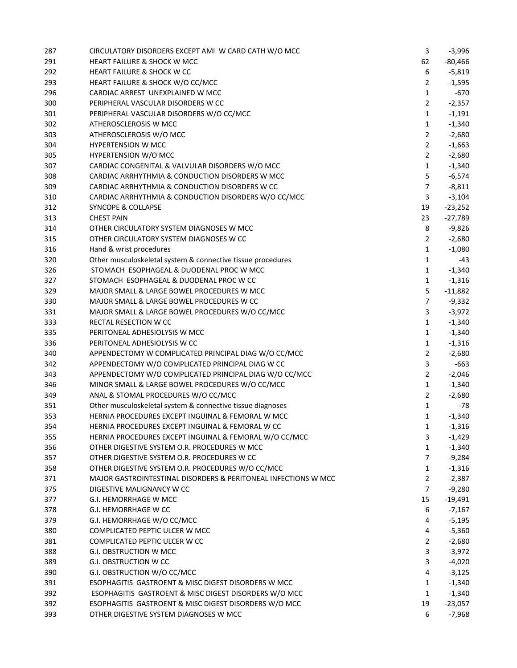| 287 | CIRCULATORY DISORDERS EXCEPT AMI W CARD CATH W/O MCC           | 3              | $-3,996$  |
|-----|----------------------------------------------------------------|----------------|-----------|
| 291 | <b>HEART FAILURE &amp; SHOCK W MCC</b>                         | 62             | $-80,466$ |
| 292 | <b>HEART FAILURE &amp; SHOCK W CC</b>                          | 6              | $-5,819$  |
| 293 | HEART FAILURE & SHOCK W/O CC/MCC                               | $\overline{2}$ | $-1,595$  |
| 296 | CARDIAC ARREST UNEXPLAINED W MCC                               | $\mathbf{1}$   | $-670$    |
| 300 | PERIPHERAL VASCULAR DISORDERS W CC                             | $\overline{2}$ | $-2,357$  |
| 301 | PERIPHERAL VASCULAR DISORDERS W/O CC/MCC                       | $\mathbf{1}$   | $-1,191$  |
| 302 | ATHEROSCLEROSIS W MCC                                          | $\mathbf{1}$   | $-1,340$  |
| 303 | ATHEROSCLEROSIS W/O MCC                                        | $\overline{2}$ | $-2,680$  |
| 304 | <b>HYPERTENSION W MCC</b>                                      | $\overline{2}$ | $-1,663$  |
| 305 | <b>HYPERTENSION W/O MCC</b>                                    | $\overline{2}$ | $-2,680$  |
| 307 | CARDIAC CONGENITAL & VALVULAR DISORDERS W/O MCC                | $\mathbf{1}$   | $-1,340$  |
| 308 | CARDIAC ARRHYTHMIA & CONDUCTION DISORDERS W MCC                | 5              | $-6,574$  |
| 309 | CARDIAC ARRHYTHMIA & CONDUCTION DISORDERS W CC                 | $\overline{7}$ | $-8,811$  |
| 310 | CARDIAC ARRHYTHMIA & CONDUCTION DISORDERS W/O CC/MCC           | 3              | $-3,104$  |
| 312 | <b>SYNCOPE &amp; COLLAPSE</b>                                  | 19             | $-23,252$ |
| 313 | <b>CHEST PAIN</b>                                              | 23             | $-27,789$ |
| 314 | OTHER CIRCULATORY SYSTEM DIAGNOSES W MCC                       | $\,8\,$        | $-9,826$  |
| 315 | OTHER CIRCULATORY SYSTEM DIAGNOSES W CC                        | $\overline{2}$ | $-2,680$  |
| 316 | Hand & wrist procedures                                        | 1              | $-1,080$  |
| 320 | Other musculoskeletal system & connective tissue procedures    | $\mathbf{1}$   | -43       |
| 326 | STOMACH ESOPHAGEAL & DUODENAL PROC W MCC                       | $\mathbf{1}$   | $-1,340$  |
| 327 | STOMACH ESOPHAGEAL & DUODENAL PROC W CC                        | $\mathbf{1}$   | $-1,316$  |
| 329 | MAJOR SMALL & LARGE BOWEL PROCEDURES W MCC                     | 5              | $-11,882$ |
| 330 | MAJOR SMALL & LARGE BOWEL PROCEDURES W CC                      | $\overline{7}$ | $-9,332$  |
| 331 | MAJOR SMALL & LARGE BOWEL PROCEDURES W/O CC/MCC                | 3              | $-3,972$  |
| 333 | RECTAL RESECTION W CC                                          | $\mathbf{1}$   | $-1,340$  |
| 335 | PERITONEAL ADHESIOLYSIS W MCC                                  | $\mathbf{1}$   | $-1,340$  |
| 336 | PERITONEAL ADHESIOLYSIS W CC                                   | $\mathbf{1}$   | $-1,316$  |
| 340 | APPENDECTOMY W COMPLICATED PRINCIPAL DIAG W/O CC/MCC           | $\overline{2}$ | $-2,680$  |
| 342 | APPENDECTOMY W/O COMPLICATED PRINCIPAL DIAG W CC               | 3              | $-663$    |
| 343 | APPENDECTOMY W/O COMPLICATED PRINCIPAL DIAG W/O CC/MCC         | $\overline{2}$ | $-2,046$  |
| 346 | MINOR SMALL & LARGE BOWEL PROCEDURES W/O CC/MCC                | $\mathbf{1}$   | $-1,340$  |
| 349 | ANAL & STOMAL PROCEDURES W/O CC/MCC                            | $\overline{2}$ | $-2,680$  |
| 351 | Other musculoskeletal system & connective tissue diagnoses     | $\mathbf{1}$   | -78       |
| 353 | HERNIA PROCEDURES EXCEPT INGUINAL & FEMORAL W MCC              | 1              | $-1,340$  |
| 354 | HERNIA PROCEDURES EXCEPT INGUINAL & FEMORAL W CC               | 1              | -1,316    |
| 355 | HERNIA PROCEDURES EXCEPT INGUINAL & FEMORAL W/O CC/MCC         | 3              | $-1,429$  |
| 356 | OTHER DIGESTIVE SYSTEM O.R. PROCEDURES W MCC                   | $\mathbf{1}$   | $-1,340$  |
| 357 | OTHER DIGESTIVE SYSTEM O.R. PROCEDURES W CC                    | 7              | $-9,284$  |
| 358 | OTHER DIGESTIVE SYSTEM O.R. PROCEDURES W/O CC/MCC              | 1              | $-1,316$  |
| 371 | MAJOR GASTROINTESTINAL DISORDERS & PERITONEAL INFECTIONS W MCC | $\overline{2}$ | $-2,387$  |
| 375 | DIGESTIVE MALIGNANCY W CC                                      | $\overline{7}$ | $-9,280$  |
| 377 | <b>G.I. HEMORRHAGE W MCC</b>                                   | 15             | $-19,491$ |
| 378 | G.I. HEMORRHAGE W CC                                           | 6              | $-7,167$  |
| 379 | G.I. HEMORRHAGE W/O CC/MCC                                     | 4              | $-5,195$  |
| 380 | COMPLICATED PEPTIC ULCER W MCC                                 | 4              | $-5,360$  |
| 381 | COMPLICATED PEPTIC ULCER W CC                                  | $\overline{2}$ | $-2,680$  |
| 388 | <b>G.I. OBSTRUCTION W MCC</b>                                  | 3              | $-3,972$  |
| 389 | <b>G.I. OBSTRUCTION W CC</b>                                   | 3              | $-4,020$  |
| 390 | G.I. OBSTRUCTION W/O CC/MCC                                    | 4              | $-3,125$  |
| 391 | ESOPHAGITIS GASTROENT & MISC DIGEST DISORDERS W MCC            | 1              | $-1,340$  |
| 392 | ESOPHAGITIS GASTROENT & MISC DIGEST DISORDERS W/O MCC          | 1              | $-1,340$  |
| 392 | ESOPHAGITIS GASTROENT & MISC DIGEST DISORDERS W/O MCC          | 19             | $-23,057$ |
| 393 | OTHER DIGESTIVE SYSTEM DIAGNOSES W MCC                         | 6              | $-7,968$  |
|     |                                                                |                |           |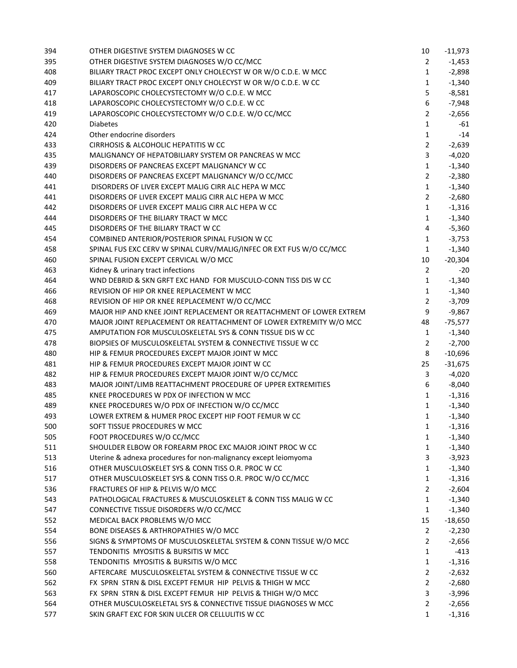| 394 | OTHER DIGESTIVE SYSTEM DIAGNOSES W CC                                | 10             | $-11,973$ |
|-----|----------------------------------------------------------------------|----------------|-----------|
| 395 | OTHER DIGESTIVE SYSTEM DIAGNOSES W/O CC/MCC                          | 2              | $-1,453$  |
| 408 | BILIARY TRACT PROC EXCEPT ONLY CHOLECYST W OR W/O C.D.E. W MCC       | $\mathbf{1}$   | $-2,898$  |
| 409 | BILIARY TRACT PROC EXCEPT ONLY CHOLECYST W OR W/O C.D.E. W CC        | $\mathbf{1}$   | $-1,340$  |
| 417 | LAPAROSCOPIC CHOLECYSTECTOMY W/O C.D.E. W MCC                        | 5              | $-8,581$  |
| 418 | LAPAROSCOPIC CHOLECYSTECTOMY W/O C.D.E. W CC                         | 6              | $-7,948$  |
| 419 | LAPAROSCOPIC CHOLECYSTECTOMY W/O C.D.E. W/O CC/MCC                   | $\overline{2}$ | $-2,656$  |
| 420 | <b>Diabetes</b>                                                      | $\mathbf{1}$   | $-61$     |
| 424 | Other endocrine disorders                                            | $\mathbf{1}$   | $-14$     |
| 433 | CIRRHOSIS & ALCOHOLIC HEPATITIS W CC                                 | $\overline{2}$ | $-2,639$  |
| 435 | MALIGNANCY OF HEPATOBILIARY SYSTEM OR PANCREAS W MCC                 | 3              | $-4,020$  |
| 439 | DISORDERS OF PANCREAS EXCEPT MALIGNANCY W CC                         | $\mathbf{1}$   | $-1,340$  |
| 440 | DISORDERS OF PANCREAS EXCEPT MALIGNANCY W/O CC/MCC                   | $\overline{2}$ | $-2,380$  |
| 441 | DISORDERS OF LIVER EXCEPT MALIG CIRR ALC HEPA W MCC                  | $\mathbf{1}$   | $-1,340$  |
| 441 | DISORDERS OF LIVER EXCEPT MALIG CIRR ALC HEPA W MCC                  | $\overline{2}$ | $-2,680$  |
| 442 | DISORDERS OF LIVER EXCEPT MALIG CIRR ALC HEPA W CC                   | $\mathbf{1}$   | $-1,316$  |
| 444 | DISORDERS OF THE BILIARY TRACT W MCC                                 | $\mathbf{1}$   | $-1,340$  |
| 445 | DISORDERS OF THE BILIARY TRACT W CC                                  | 4              | $-5,360$  |
| 454 | COMBINED ANTERIOR/POSTERIOR SPINAL FUSION W CC                       | $\mathbf{1}$   | $-3,753$  |
| 458 | SPINAL FUS EXC CERV W SPINAL CURV/MALIG/INFEC OR EXT FUS W/O CC/MCC  | $\mathbf{1}$   | $-1,340$  |
| 460 | SPINAL FUSION EXCEPT CERVICAL W/O MCC                                | 10             | $-20,304$ |
| 463 | Kidney & urinary tract infections                                    | $\overline{2}$ | -20       |
| 464 | WND DEBRID & SKN GRFT EXC HAND FOR MUSCULO-CONN TISS DIS W CC        | $\mathbf{1}$   | $-1,340$  |
| 466 | REVISION OF HIP OR KNEE REPLACEMENT W MCC                            | $\mathbf{1}$   | $-1,340$  |
| 468 | REVISION OF HIP OR KNEE REPLACEMENT W/O CC/MCC                       | $\overline{2}$ | $-3,709$  |
| 469 | MAJOR HIP AND KNEE JOINT REPLACEMENT OR REATTACHMENT OF LOWER EXTREM | 9              | $-9,867$  |
| 470 | MAJOR JOINT REPLACEMENT OR REATTACHMENT OF LOWER EXTREMITY W/O MCC   | 48             | $-75,577$ |
| 475 | AMPUTATION FOR MUSCULOSKELETAL SYS & CONN TISSUE DIS W CC            | $\mathbf{1}$   | $-1,340$  |
| 478 | BIOPSIES OF MUSCULOSKELETAL SYSTEM & CONNECTIVE TISSUE W CC          | $\overline{2}$ | $-2,700$  |
| 480 | HIP & FEMUR PROCEDURES EXCEPT MAJOR JOINT W MCC                      | 8              | $-10,696$ |
| 481 | HIP & FEMUR PROCEDURES EXCEPT MAJOR JOINT W CC                       | 25             | $-31,675$ |
| 482 | HIP & FEMUR PROCEDURES EXCEPT MAJOR JOINT W/O CC/MCC                 | 3              | $-4,020$  |
| 483 | MAJOR JOINT/LIMB REATTACHMENT PROCEDURE OF UPPER EXTREMITIES         | 6              | $-8,040$  |
| 485 | KNEE PROCEDURES W PDX OF INFECTION W MCC                             | $\mathbf{1}$   | $-1,316$  |
| 489 | KNEE PROCEDURES W/O PDX OF INFECTION W/O CC/MCC                      | $\mathbf{1}$   | $-1,340$  |
| 493 | LOWER EXTREM & HUMER PROC EXCEPT HIP FOOT FEMUR W CC                 | $\mathbf{1}$   | $-1,340$  |
| 500 | SOFT TISSUE PROCEDURES W MCC                                         | 1              | $-1,316$  |
| 505 | FOOT PROCEDURES W/O CC/MCC                                           | 1              | $-1,340$  |
| 511 | SHOULDER ELBOW OR FOREARM PROC EXC MAJOR JOINT PROC W CC             | $\mathbf{1}$   | $-1,340$  |
| 513 | Uterine & adnexa procedures for non-malignancy except leiomyoma      | 3              | $-3,923$  |
| 516 | OTHER MUSCULOSKELET SYS & CONN TISS O.R. PROC W CC                   | $\mathbf{1}$   | $-1,340$  |
| 517 | OTHER MUSCULOSKELET SYS & CONN TISS O.R. PROC W/O CC/MCC             | $\mathbf{1}$   | $-1,316$  |
| 536 | FRACTURES OF HIP & PELVIS W/O MCC                                    | $\overline{2}$ | $-2,604$  |
| 543 | PATHOLOGICAL FRACTURES & MUSCULOSKELET & CONN TISS MALIG W CC        | $\mathbf{1}$   | $-1,340$  |
| 547 | CONNECTIVE TISSUE DISORDERS W/O CC/MCC                               | $\mathbf{1}$   | $-1,340$  |
| 552 | MEDICAL BACK PROBLEMS W/O MCC                                        | 15             | $-18,650$ |
| 554 | BONE DISEASES & ARTHROPATHIES W/O MCC                                | $\overline{2}$ | $-2,230$  |
| 556 | SIGNS & SYMPTOMS OF MUSCULOSKELETAL SYSTEM & CONN TISSUE W/O MCC     | $\overline{2}$ | $-2,656$  |
| 557 | TENDONITIS MYOSITIS & BURSITIS W MCC                                 | $\mathbf{1}$   | $-413$    |
| 558 | TENDONITIS MYOSITIS & BURSITIS W/O MCC                               | $\mathbf{1}$   | $-1,316$  |
| 560 | AFTERCARE MUSCULOSKELETAL SYSTEM & CONNECTIVE TISSUE W CC            | $\overline{2}$ | $-2,632$  |
| 562 | FX SPRN STRN & DISL EXCEPT FEMUR HIP PELVIS & THIGH W MCC            | $\overline{2}$ | $-2,680$  |
| 563 | FX SPRN STRN & DISL EXCEPT FEMUR HIP PELVIS & THIGH W/O MCC          | 3              | $-3,996$  |
| 564 | OTHER MUSCULOSKELETAL SYS & CONNECTIVE TISSUE DIAGNOSES W MCC        | $\overline{2}$ | $-2,656$  |
| 577 | SKIN GRAFT EXC FOR SKIN ULCER OR CELLULITIS W CC                     | 1              | $-1,316$  |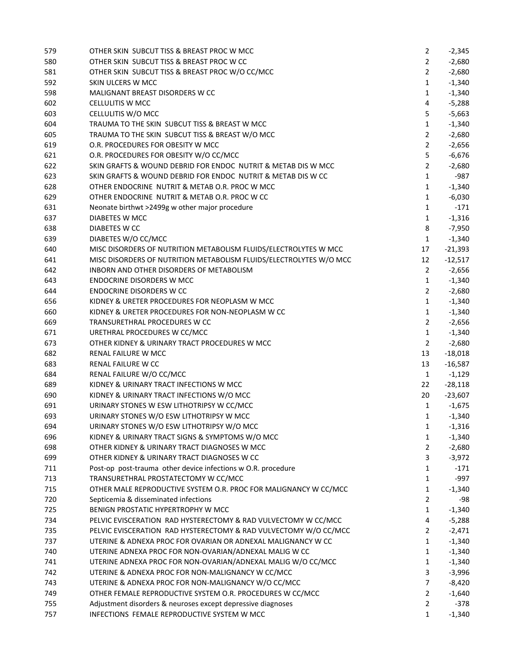| 579 | OTHER SKIN SUBCUT TISS & BREAST PROC W MCC                         | $\overline{2}$ | $-2,345$  |
|-----|--------------------------------------------------------------------|----------------|-----------|
| 580 | OTHER SKIN SUBCUT TISS & BREAST PROC W CC                          | $\overline{2}$ | $-2,680$  |
| 581 | OTHER SKIN SUBCUT TISS & BREAST PROC W/O CC/MCC                    | $\overline{2}$ | $-2,680$  |
| 592 | SKIN ULCERS W MCC                                                  | $\mathbf{1}$   | $-1,340$  |
| 598 | MALIGNANT BREAST DISORDERS W CC                                    | $\mathbf{1}$   | $-1,340$  |
| 602 | <b>CELLULITIS W MCC</b>                                            | 4              | $-5,288$  |
| 603 | CELLULITIS W/O MCC                                                 | 5              | $-5,663$  |
| 604 | TRAUMA TO THE SKIN SUBCUT TISS & BREAST W MCC                      | $\mathbf{1}$   | $-1,340$  |
| 605 | TRAUMA TO THE SKIN SUBCUT TISS & BREAST W/O MCC                    | $\overline{2}$ | $-2,680$  |
| 619 | O.R. PROCEDURES FOR OBESITY W MCC                                  | $\overline{2}$ | $-2,656$  |
| 621 | O.R. PROCEDURES FOR OBESITY W/O CC/MCC                             | 5              | $-6,676$  |
| 622 | SKIN GRAFTS & WOUND DEBRID FOR ENDOC NUTRIT & METAB DIS W MCC      | $\overline{2}$ | $-2,680$  |
| 623 | SKIN GRAFTS & WOUND DEBRID FOR ENDOC NUTRIT & METAB DIS W CC       | $\mathbf{1}$   | $-987$    |
| 628 | OTHER ENDOCRINE NUTRIT & METAB O.R. PROC W MCC                     | 1              | $-1,340$  |
| 629 | OTHER ENDOCRINE NUTRIT & METAB O.R. PROC W CC                      | 1              | $-6,030$  |
| 631 | Neonate birthwt >2499g w other major procedure                     | $\mathbf{1}$   | $-171$    |
| 637 | DIABETES W MCC                                                     | $\mathbf{1}$   | $-1,316$  |
| 638 | DIABETES W CC                                                      | 8              | $-7,950$  |
| 639 | DIABETES W/O CC/MCC                                                | $\mathbf{1}$   | $-1,340$  |
| 640 | MISC DISORDERS OF NUTRITION METABOLISM FLUIDS/ELECTROLYTES W MCC   | 17             | $-21,393$ |
| 641 | MISC DISORDERS OF NUTRITION METABOLISM FLUIDS/ELECTROLYTES W/O MCC | 12             | $-12,517$ |
| 642 | INBORN AND OTHER DISORDERS OF METABOLISM                           | $\overline{2}$ | $-2,656$  |
| 643 | <b>ENDOCRINE DISORDERS W MCC</b>                                   | $\mathbf{1}$   | $-1,340$  |
| 644 | <b>ENDOCRINE DISORDERS W CC</b>                                    | $\overline{2}$ | $-2,680$  |
| 656 | KIDNEY & URETER PROCEDURES FOR NEOPLASM W MCC                      | $\mathbf{1}$   | $-1,340$  |
| 660 | KIDNEY & URETER PROCEDURES FOR NON-NEOPLASM W CC                   | 1              | $-1,340$  |
| 669 | TRANSURETHRAL PROCEDURES W CC                                      | $\overline{2}$ | $-2,656$  |
| 671 | URETHRAL PROCEDURES W CC/MCC                                       | $\mathbf{1}$   | $-1,340$  |
| 673 | OTHER KIDNEY & URINARY TRACT PROCEDURES W MCC                      | $\overline{2}$ | $-2,680$  |
| 682 | RENAL FAILURE W MCC                                                | 13             | $-18,018$ |
| 683 | RENAL FAILURE W CC                                                 | 13             | $-16,587$ |
| 684 | RENAL FAILURE W/O CC/MCC                                           | $\mathbf{1}$   | $-1,129$  |
| 689 | KIDNEY & URINARY TRACT INFECTIONS W MCC                            | 22             | $-28,118$ |
| 690 | KIDNEY & URINARY TRACT INFECTIONS W/O MCC                          | 20             | $-23,607$ |
| 691 | URINARY STONES W ESW LITHOTRIPSY W CC/MCC                          | $\mathbf{1}$   | $-1,675$  |
| 693 | URINARY STONES W/O ESW LITHOTRIPSY W MCC                           | 1              | $-1,340$  |
| 694 | URINARY STONES W/O ESW LITHOTRIPSY W/O MCC                         | $\mathbf{1}$   | $-1,316$  |
| 696 | KIDNEY & URINARY TRACT SIGNS & SYMPTOMS W/O MCC                    | 1              | $-1,340$  |
| 698 | OTHER KIDNEY & URINARY TRACT DIAGNOSES W MCC                       | $\overline{2}$ | $-2,680$  |
| 699 | OTHER KIDNEY & URINARY TRACT DIAGNOSES W CC                        | 3              | $-3,972$  |
| 711 | Post-op post-trauma other device infections w O.R. procedure       | $\mathbf{1}$   | $-171$    |
| 713 | TRANSURETHRAL PROSTATECTOMY W CC/MCC                               | $\mathbf{1}$   | $-997$    |
| 715 | OTHER MALE REPRODUCTIVE SYSTEM O.R. PROC FOR MALIGNANCY W CC/MCC   | $\mathbf{1}$   | $-1,340$  |
| 720 | Septicemia & disseminated infections                               | $\overline{2}$ | -98       |
| 725 | BENIGN PROSTATIC HYPERTROPHY W MCC                                 | $\mathbf{1}$   | $-1,340$  |
| 734 | PELVIC EVISCERATION RAD HYSTERECTOMY & RAD VULVECTOMY W CC/MCC     | 4              | $-5,288$  |
| 735 | PELVIC EVISCERATION RAD HYSTERECTOMY & RAD VULVECTOMY W/O CC/MCC   | 2              | $-2,471$  |
| 737 | UTERINE & ADNEXA PROC FOR OVARIAN OR ADNEXAL MALIGNANCY W CC       | 1              | $-1,340$  |
| 740 | UTERINE ADNEXA PROC FOR NON-OVARIAN/ADNEXAL MALIG W CC             | $\mathbf{1}$   | $-1,340$  |
| 741 | UTERINE ADNEXA PROC FOR NON-OVARIAN/ADNEXAL MALIG W/O CC/MCC       | $\mathbf{1}$   | $-1,340$  |
| 742 | UTERINE & ADNEXA PROC FOR NON-MALIGNANCY W CC/MCC                  | 3              | $-3,996$  |
| 743 | UTERINE & ADNEXA PROC FOR NON-MALIGNANCY W/O CC/MCC                | $\overline{7}$ | $-8,420$  |
| 749 | OTHER FEMALE REPRODUCTIVE SYSTEM O.R. PROCEDURES W CC/MCC          | $\overline{2}$ | $-1,640$  |
| 755 | Adjustment disorders & neuroses except depressive diagnoses        | $\overline{2}$ | -378      |
| 757 | INFECTIONS FEMALE REPRODUCTIVE SYSTEM W MCC                        | 1              | $-1,340$  |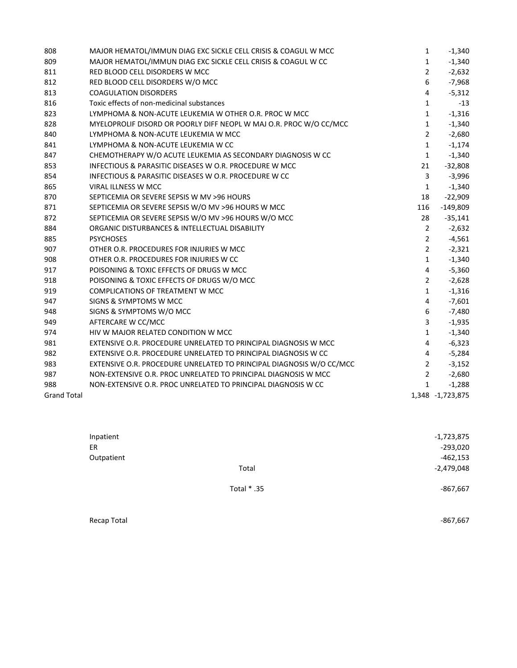| 808                | MAJOR HEMATOL/IMMUN DIAG EXC SICKLE CELL CRISIS & COAGUL W MCC       | $\mathbf{1}$            | $-1,340$         |
|--------------------|----------------------------------------------------------------------|-------------------------|------------------|
| 809                | MAJOR HEMATOL/IMMUN DIAG EXC SICKLE CELL CRISIS & COAGUL W CC        | $\mathbf{1}$            | $-1,340$         |
| 811                | RED BLOOD CELL DISORDERS W MCC                                       | $\overline{2}$          | $-2,632$         |
| 812                | RED BLOOD CELL DISORDERS W/O MCC                                     | 6                       | $-7,968$         |
| 813                | <b>COAGULATION DISORDERS</b>                                         | 4                       | $-5,312$         |
| 816                | Toxic effects of non-medicinal substances                            | $\mathbf{1}$            | $-13$            |
| 823                | LYMPHOMA & NON-ACUTE LEUKEMIA W OTHER O.R. PROC W MCC                | $\mathbf{1}$            | $-1,316$         |
| 828                | MYELOPROLIF DISORD OR POORLY DIFF NEOPL W MAJ O.R. PROC W/O CC/MCC   | $\mathbf{1}$            | $-1,340$         |
| 840                | LYMPHOMA & NON-ACUTE LEUKEMIA W MCC                                  | $\overline{2}$          | $-2,680$         |
| 841                | LYMPHOMA & NON-ACUTE LEUKEMIA W CC                                   | $\mathbf{1}$            | $-1,174$         |
| 847                | CHEMOTHERAPY W/O ACUTE LEUKEMIA AS SECONDARY DIAGNOSIS W CC          | $\mathbf{1}$            | $-1,340$         |
| 853                | INFECTIOUS & PARASITIC DISEASES W O.R. PROCEDURE W MCC               | 21                      | $-32,808$        |
| 854                | INFECTIOUS & PARASITIC DISEASES W O.R. PROCEDURE W CC                | 3                       | $-3,996$         |
| 865                | VIRAL ILLNESS W MCC                                                  | $\mathbf{1}$            | $-1,340$         |
| 870                | SEPTICEMIA OR SEVERE SEPSIS W MV >96 HOURS                           | 18                      | $-22,909$        |
| 871                | SEPTICEMIA OR SEVERE SEPSIS W/O MV >96 HOURS W MCC                   | 116                     | $-149,809$       |
| 872                | SEPTICEMIA OR SEVERE SEPSIS W/O MV >96 HOURS W/O MCC                 | 28                      | $-35,141$        |
| 884                | ORGANIC DISTURBANCES & INTELLECTUAL DISABILITY                       | $\overline{2}$          | $-2,632$         |
| 885                | <b>PSYCHOSES</b>                                                     | $\overline{2}$          | $-4,561$         |
| 907                | OTHER O.R. PROCEDURES FOR INJURIES W MCC                             | $\overline{2}$          | $-2,321$         |
| 908                | OTHER O.R. PROCEDURES FOR INJURIES W CC                              | $\mathbf{1}$            | $-1,340$         |
| 917                | POISONING & TOXIC EFFECTS OF DRUGS W MCC                             | $\overline{4}$          | $-5,360$         |
| 918                | POISONING & TOXIC EFFECTS OF DRUGS W/O MCC                           | $\overline{2}$          | $-2,628$         |
| 919                | <b>COMPLICATIONS OF TREATMENT W MCC</b>                              | $\mathbf{1}$            | $-1,316$         |
| 947                | SIGNS & SYMPTOMS W MCC                                               | 4                       | $-7,601$         |
| 948                | SIGNS & SYMPTOMS W/O MCC                                             | 6                       | $-7,480$         |
| 949                | AFTERCARE W CC/MCC                                                   | 3                       | $-1,935$         |
| 974                | HIV W MAJOR RELATED CONDITION W MCC                                  | $\mathbf{1}$            | $-1,340$         |
| 981                | EXTENSIVE O.R. PROCEDURE UNRELATED TO PRINCIPAL DIAGNOSIS W MCC      | $\overline{\mathbf{4}}$ | $-6,323$         |
| 982                | EXTENSIVE O.R. PROCEDURE UNRELATED TO PRINCIPAL DIAGNOSIS W CC       | 4                       | $-5,284$         |
| 983                | EXTENSIVE O.R. PROCEDURE UNRELATED TO PRINCIPAL DIAGNOSIS W/O CC/MCC | $\overline{2}$          | $-3,152$         |
| 987                | NON-EXTENSIVE O.R. PROC UNRELATED TO PRINCIPAL DIAGNOSIS W MCC       | $\overline{2}$          | $-2,680$         |
| 988                | NON-EXTENSIVE O.R. PROC UNRELATED TO PRINCIPAL DIAGNOSIS W CC        | $\mathbf{1}$            | $-1,288$         |
| <b>Grand Total</b> |                                                                      |                         | 1,348 -1,723,875 |

| Inpatient  |             | -1,723,875   |
|------------|-------------|--------------|
| ER         |             | $-293,020$   |
| Outpatient |             | $-462,153$   |
|            | Total       | $-2,479,048$ |
|            | Total * .35 | $-867,667$   |

Recap Total **Figure 2008 • 1999 • 1999 • 1999 • 1999 • 1999 • 1999 • 1999 • 1999 • 1999 • 1999 • 1999 • 1999 • 1999 • 1999 • 1999 • 1999 • 1999 • 1999 • 1999 • 1999 • 1999 • 1999**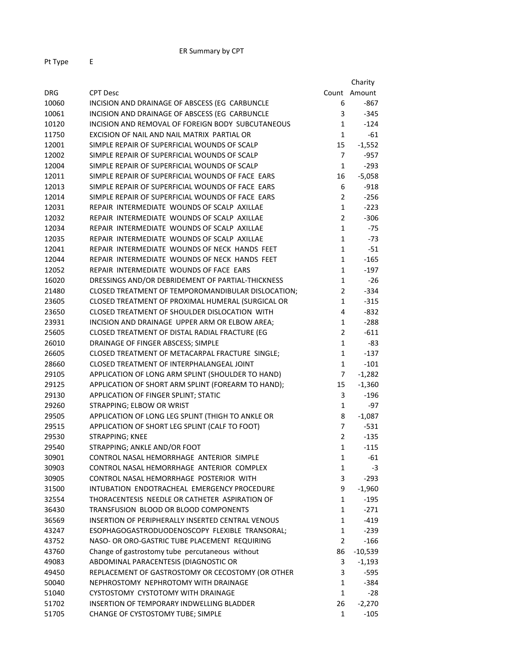|            |                                                                                           |                   | Charity      |
|------------|-------------------------------------------------------------------------------------------|-------------------|--------------|
| <b>DRG</b> | <b>CPT Desc</b>                                                                           |                   | Count Amount |
| 10060      | INCISION AND DRAINAGE OF ABSCESS (EG CARBUNCLE                                            | 6                 | $-867$       |
| 10061      | INCISION AND DRAINAGE OF ABSCESS (EG CARBUNCLE                                            | 3                 | $-345$       |
| 10120      | INCISION AND REMOVAL OF FOREIGN BODY SUBCUTANEOUS                                         | $\mathbf{1}$      | $-124$       |
| 11750      | EXCISION OF NAIL AND NAIL MATRIX PARTIAL OR                                               | $\mathbf 1$       | $-61$        |
| 12001      | SIMPLE REPAIR OF SUPERFICIAL WOUNDS OF SCALP                                              | 15                | $-1,552$     |
| 12002      | SIMPLE REPAIR OF SUPERFICIAL WOUNDS OF SCALP                                              | $\overline{7}$    | $-957$       |
| 12004      | SIMPLE REPAIR OF SUPERFICIAL WOUNDS OF SCALP                                              | $\mathbf{1}$      | $-293$       |
| 12011      | SIMPLE REPAIR OF SUPERFICIAL WOUNDS OF FACE EARS                                          | 16                | $-5,058$     |
| 12013      | SIMPLE REPAIR OF SUPERFICIAL WOUNDS OF FACE EARS                                          | 6                 | $-918$       |
| 12014      | SIMPLE REPAIR OF SUPERFICIAL WOUNDS OF FACE EARS                                          | $\overline{2}$    | $-256$       |
| 12031      | REPAIR INTERMEDIATE WOUNDS OF SCALP AXILLAE                                               | $\mathbf{1}$      | $-223$       |
| 12032      | REPAIR INTERMEDIATE WOUNDS OF SCALP AXILLAE                                               | $\overline{2}$    | $-306$       |
| 12034      | REPAIR INTERMEDIATE WOUNDS OF SCALP AXILLAE                                               | $\mathbf{1}$      | $-75$        |
| 12035      | REPAIR INTERMEDIATE WOUNDS OF SCALP AXILLAE                                               | $\mathbf{1}$      | $-73$        |
| 12041      | REPAIR INTERMEDIATE WOUNDS OF NECK HANDS FEET                                             | $\mathbf{1}$      | $-51$        |
| 12044      | REPAIR INTERMEDIATE WOUNDS OF NECK HANDS FEET                                             | $\mathbf{1}$      | $-165$       |
| 12052      | REPAIR INTERMEDIATE WOUNDS OF FACE EARS                                                   | $\mathbf{1}$      | $-197$       |
| 16020      | DRESSINGS AND/OR DEBRIDEMENT OF PARTIAL-THICKNESS                                         | $\mathbf{1}$      | $-26$        |
| 21480      | CLOSED TREATMENT OF TEMPOROMANDIBULAR DISLOCATION;                                        | $\overline{2}$    | $-334$       |
| 23605      | CLOSED TREATMENT OF PROXIMAL HUMERAL (SURGICAL OR                                         | $\mathbf{1}$      | $-315$       |
| 23650      | CLOSED TREATMENT OF SHOULDER DISLOCATION WITH                                             | 4                 | -832         |
| 23931      | INCISION AND DRAINAGE UPPER ARM OR ELBOW AREA;                                            | $\mathbf{1}$      | $-288$       |
| 25605      | CLOSED TREATMENT OF DISTAL RADIAL FRACTURE (EG                                            | $\overline{2}$    | $-611$       |
| 26010      | DRAINAGE OF FINGER ABSCESS; SIMPLE                                                        | $\mathbf{1}$      | -83          |
| 26605      | CLOSED TREATMENT OF METACARPAL FRACTURE SINGLE;                                           | $\mathbf{1}$      | $-137$       |
| 28660      | CLOSED TREATMENT OF INTERPHALANGEAL JOINT                                                 | $\mathbf{1}$      | $-101$       |
| 29105      | APPLICATION OF LONG ARM SPLINT (SHOULDER TO HAND)                                         | 7                 | $-1,282$     |
| 29125      | APPLICATION OF SHORT ARM SPLINT (FOREARM TO HAND);                                        | 15                | $-1,360$     |
| 29130      | APPLICATION OF FINGER SPLINT; STATIC                                                      | 3                 | $-196$       |
| 29260      | STRAPPING; ELBOW OR WRIST                                                                 | $\mathbf{1}$      | -97          |
| 29505      | APPLICATION OF LONG LEG SPLINT (THIGH TO ANKLE OR                                         | 8                 | $-1,087$     |
| 29515      | APPLICATION OF SHORT LEG SPLINT (CALF TO FOOT)                                            | $\overline{7}$    | $-531$       |
| 29530      | STRAPPING; KNEE                                                                           | $\overline{2}$    | $-135$       |
| 29540      | STRAPPING; ANKLE AND/OR FOOT                                                              | $\mathbf{1}$      | -115         |
| 30901      | CONTROL NASAL HEMORRHAGE ANTERIOR SIMPLE                                                  | 1                 | $-61$        |
| 30903      | CONTROL NASAL HEMORRHAGE ANTERIOR COMPLEX                                                 | $\mathbf{1}$      | -3           |
| 30905      | CONTROL NASAL HEMORRHAGE POSTERIOR WITH                                                   | 3                 | $-293$       |
| 31500      | INTUBATION ENDOTRACHEAL EMERGENCY PROCEDURE                                               | 9                 | $-1,960$     |
| 32554      | THORACENTESIS NEEDLE OR CATHETER ASPIRATION OF                                            | $\mathbf{1}$      | $-195$       |
| 36430      | TRANSFUSION BLOOD OR BLOOD COMPONENTS                                                     | $\mathbf{1}$      | $-271$       |
| 36569      | INSERTION OF PERIPHERALLY INSERTED CENTRAL VENOUS                                         | $\mathbf{1}$      | $-419$       |
| 43247      | ESOPHAGOGASTRODUODENOSCOPY FLEXIBLE TRANSORAL;                                            | $\mathbf{1}$      | $-239$       |
| 43752      | NASO- OR ORO-GASTRIC TUBE PLACEMENT REQUIRING                                             | $\overline{2}$    | $-166$       |
| 43760      | Change of gastrostomy tube percutaneous without                                           | 86                | $-10,539$    |
| 49083      | ABDOMINAL PARACENTESIS (DIAGNOSTIC OR                                                     | 3                 | $-1,193$     |
|            |                                                                                           |                   |              |
| 49450      | REPLACEMENT OF GASTROSTOMY OR CECOSTOMY (OR OTHER<br>NEPHROSTOMY NEPHROTOMY WITH DRAINAGE | 3                 | -595         |
| 50040      | CYSTOSTOMY CYSTOTOMY WITH DRAINAGE                                                        | 1<br>$\mathbf{1}$ | $-384$       |
| 51040      |                                                                                           |                   | $-28$        |
| 51702      | INSERTION OF TEMPORARY INDWELLING BLADDER                                                 | 26                | $-2,270$     |
| 51705      | CHANGE OF CYSTOSTOMY TUBE; SIMPLE                                                         | 1                 | $-105$       |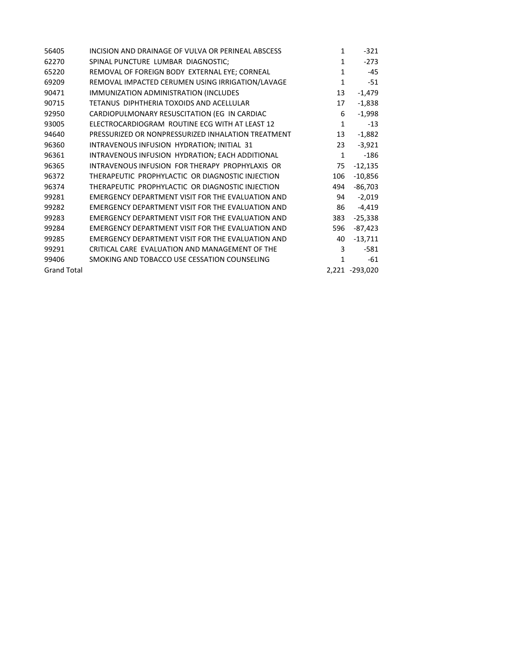| 56405              | INCISION AND DRAINAGE OF VULVA OR PERINEAL ABSCESS | $\mathbf{1}$ | $-321$         |
|--------------------|----------------------------------------------------|--------------|----------------|
| 62270              | SPINAL PUNCTURE LUMBAR DIAGNOSTIC;                 | 1            | $-273$         |
| 65220              | REMOVAL OF FOREIGN BODY EXTERNAL EYE; CORNEAL      | $\mathbf{1}$ | -45            |
| 69209              | REMOVAL IMPACTED CERUMEN USING IRRIGATION/LAVAGE   | 1            | $-51$          |
| 90471              | IMMUNIZATION ADMINISTRATION (INCLUDES              | 13           | $-1,479$       |
| 90715              | TETANUS DIPHTHERIA TOXOIDS AND ACELLULAR           | 17           | $-1,838$       |
| 92950              | CARDIOPULMONARY RESUSCITATION (EG IN CARDIAC       | 6            | $-1,998$       |
| 93005              | ELECTROCARDIOGRAM ROUTINE ECG WITH AT LEAST 12     | $\mathbf{1}$ | $-13$          |
| 94640              | PRESSURIZED OR NONPRESSURIZED INHALATION TREATMENT | 13           | $-1,882$       |
| 96360              | INTRAVENOUS INFUSION HYDRATION; INITIAL 31         | 23           | $-3,921$       |
| 96361              | INTRAVENOUS INFUSION HYDRATION; EACH ADDITIONAL    | $\mathbf{1}$ | $-186$         |
| 96365              | INTRAVENOUS INFUSION FOR THERAPY PROPHYLAXIS OR    | 75           | $-12,135$      |
| 96372              | THERAPEUTIC PROPHYLACTIC OR DIAGNOSTIC INJECTION   | 106          | $-10,856$      |
| 96374              | THERAPEUTIC PROPHYLACTIC OR DIAGNOSTIC INJECTION   | 494          | $-86,703$      |
| 99281              | EMERGENCY DEPARTMENT VISIT FOR THE EVALUATION AND  | 94           | $-2,019$       |
| 99282              | EMERGENCY DEPARTMENT VISIT FOR THE EVALUATION AND  | 86           | $-4,419$       |
| 99283              | EMERGENCY DEPARTMENT VISIT FOR THE EVALUATION AND  | 383          | $-25,338$      |
| 99284              | EMERGENCY DEPARTMENT VISIT FOR THE EVALUATION AND  | 596          | $-87,423$      |
| 99285              | EMERGENCY DEPARTMENT VISIT FOR THE EVALUATION AND  | 40           | $-13,711$      |
| 99291              | CRITICAL CARE EVALUATION AND MANAGEMENT OF THE     | 3            | $-581$         |
| 99406              | SMOKING AND TOBACCO USE CESSATION COUNSELING       | 1            | -61            |
| <b>Grand Total</b> |                                                    |              | 2,221 -293,020 |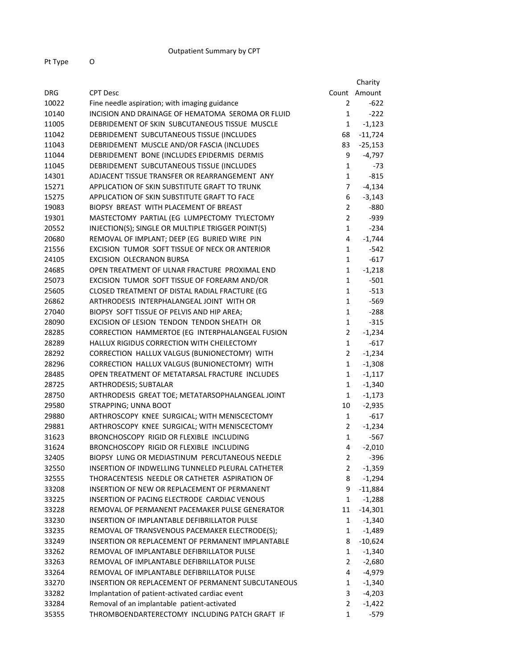| Pt Type | O |
|---------|---|
|         |   |

|            |                                                    |                | Charity      |
|------------|----------------------------------------------------|----------------|--------------|
| <b>DRG</b> | <b>CPT Desc</b>                                    |                | Count Amount |
| 10022      | Fine needle aspiration; with imaging guidance      | $\overline{2}$ | $-622$       |
| 10140      | INCISION AND DRAINAGE OF HEMATOMA SEROMA OR FLUID  | $\mathbf{1}$   | $-222$       |
| 11005      | DEBRIDEMENT OF SKIN SUBCUTANEOUS TISSUE MUSCLE     | $\mathbf{1}$   | $-1,123$     |
| 11042      | DEBRIDEMENT SUBCUTANEOUS TISSUE (INCLUDES          | 68             | $-11,724$    |
| 11043      | DEBRIDEMENT MUSCLE AND/OR FASCIA (INCLUDES         | 83             | $-25,153$    |
| 11044      | DEBRIDEMENT BONE (INCLUDES EPIDERMIS DERMIS        | 9              | $-4,797$     |
| 11045      | DEBRIDEMENT SUBCUTANEOUS TISSUE (INCLUDES          | $\mathbf{1}$   | -73          |
| 14301      | ADJACENT TISSUE TRANSFER OR REARRANGEMENT ANY      | $\mathbf{1}$   | $-815$       |
| 15271      | APPLICATION OF SKIN SUBSTITUTE GRAFT TO TRUNK      | $\overline{7}$ | $-4,134$     |
| 15275      | APPLICATION OF SKIN SUBSTITUTE GRAFT TO FACE       | 6              | $-3,143$     |
| 19083      | BIOPSY BREAST WITH PLACEMENT OF BREAST             | $\overline{2}$ | $-880$       |
| 19301      | MASTECTOMY PARTIAL (EG LUMPECTOMY TYLECTOMY        | $\overline{2}$ | $-939$       |
| 20552      | INJECTION(S); SINGLE OR MULTIPLE TRIGGER POINT(S)  | $\mathbf{1}$   | $-234$       |
| 20680      | REMOVAL OF IMPLANT; DEEP (EG BURIED WIRE PIN       | 4              | $-1,744$     |
| 21556      | EXCISION TUMOR SOFT TISSUE OF NECK OR ANTERIOR     | $\mathbf{1}$   | $-542$       |
| 24105      | <b>EXCISION OLECRANON BURSA</b>                    | $\mathbf{1}$   | $-617$       |
| 24685      | OPEN TREATMENT OF ULNAR FRACTURE PROXIMAL END      | $\mathbf{1}$   | $-1,218$     |
| 25073      | EXCISION TUMOR SOFT TISSUE OF FOREARM AND/OR       | $\mathbf{1}$   | $-501$       |
| 25605      | CLOSED TREATMENT OF DISTAL RADIAL FRACTURE (EG     | $\mathbf{1}$   | $-513$       |
| 26862      | ARTHRODESIS INTERPHALANGEAL JOINT WITH OR          | $\mathbf{1}$   | $-569$       |
| 27040      | BIOPSY SOFT TISSUE OF PELVIS AND HIP AREA;         | $\mathbf{1}$   | $-288$       |
| 28090      | EXCISION OF LESION TENDON TENDON SHEATH OR         | $\mathbf{1}$   | $-315$       |
| 28285      | CORRECTION HAMMERTOE (EG INTERPHALANGEAL FUSION    | $\overline{2}$ | $-1,234$     |
| 28289      | HALLUX RIGIDUS CORRECTION WITH CHEILECTOMY         | $\mathbf{1}$   | $-617$       |
| 28292      | CORRECTION HALLUX VALGUS (BUNIONECTOMY) WITH       | $\overline{2}$ | $-1,234$     |
| 28296      | CORRECTION HALLUX VALGUS (BUNIONECTOMY) WITH       | $\mathbf{1}$   | $-1,308$     |
| 28485      | OPEN TREATMENT OF METATARSAL FRACTURE INCLUDES     | $\mathbf{1}$   | $-1,117$     |
| 28725      | ARTHRODESIS; SUBTALAR                              | $\mathbf{1}$   | $-1,340$     |
| 28750      | ARTHRODESIS GREAT TOE; METATARSOPHALANGEAL JOINT   | $\mathbf{1}$   | $-1,173$     |
| 29580      | STRAPPING; UNNA BOOT                               | 10             | $-2,935$     |
| 29880      | ARTHROSCOPY KNEE SURGICAL; WITH MENISCECTOMY       | $\mathbf{1}$   | $-617$       |
| 29881      | ARTHROSCOPY KNEE SURGICAL; WITH MENISCECTOMY       | $\overline{2}$ | $-1,234$     |
| 31623      | BRONCHOSCOPY RIGID OR FLEXIBLE INCLUDING           | $\mathbf{1}$   | $-567$       |
| 31624      | BRONCHOSCOPY RIGID OR FLEXIBLE INCLUDING           | 4              | $-2,010$     |
| 32405      | BIOPSY LUNG OR MEDIASTINUM PERCUTANEOUS NEEDLE     | $\overline{2}$ | $-396$       |
| 32550      | INSERTION OF INDWELLING TUNNELED PLEURAL CATHETER  | $\overline{2}$ | $-1,359$     |
| 32555      | THORACENTESIS NEEDLE OR CATHETER ASPIRATION OF     | 8              | $-1,294$     |
| 33208      | INSERTION OF NEW OR REPLACEMENT OF PERMANENT       | 9              | $-11,884$    |
| 33225      | INSERTION OF PACING ELECTRODE CARDIAC VENOUS       | 1              | $-1,288$     |
| 33228      | REMOVAL OF PERMANENT PACEMAKER PULSE GENERATOR     | 11             | $-14,301$    |
| 33230      | INSERTION OF IMPLANTABLE DEFIBRILLATOR PULSE       | 1              | $-1,340$     |
| 33235      | REMOVAL OF TRANSVENOUS PACEMAKER ELECTRODE(S);     | 1              | $-1,489$     |
| 33249      | INSERTION OR REPLACEMENT OF PERMANENT IMPLANTABLE  | 8              | $-10,624$    |
| 33262      | REMOVAL OF IMPLANTABLE DEFIBRILLATOR PULSE         | 1              | $-1,340$     |
| 33263      | REMOVAL OF IMPLANTABLE DEFIBRILLATOR PULSE         | $\mathbf{2}$   | $-2,680$     |
| 33264      | REMOVAL OF IMPLANTABLE DEFIBRILLATOR PULSE         | 4              | $-4,979$     |
| 33270      | INSERTION OR REPLACEMENT OF PERMANENT SUBCUTANEOUS | 1              | $-1,340$     |
| 33282      | Implantation of patient-activated cardiac event    | 3              | $-4,203$     |
| 33284      | Removal of an implantable patient-activated        | $\overline{2}$ | $-1,422$     |
| 35355      | THROMBOENDARTERECTOMY INCLUDING PATCH GRAFT IF     | 1              | $-579$       |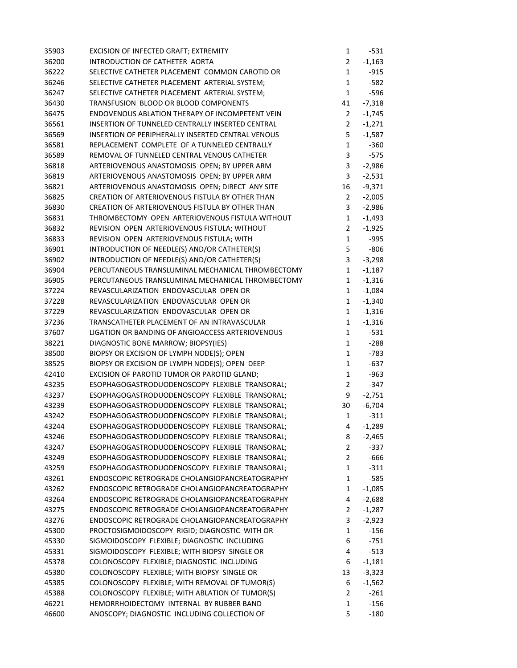| 35903 | EXCISION OF INFECTED GRAFT; EXTREMITY             | 1              | $-531$   |
|-------|---------------------------------------------------|----------------|----------|
| 36200 | INTRODUCTION OF CATHETER AORTA                    | $\overline{2}$ | $-1,163$ |
| 36222 | SELECTIVE CATHETER PLACEMENT COMMON CAROTID OR    | $\mathbf 1$    | $-915$   |
| 36246 | SELECTIVE CATHETER PLACEMENT ARTERIAL SYSTEM;     | $\mathbf 1$    | $-582$   |
| 36247 | SELECTIVE CATHETER PLACEMENT ARTERIAL SYSTEM;     | $\mathbf{1}$   | -596     |
| 36430 | TRANSFUSION BLOOD OR BLOOD COMPONENTS             | 41             | $-7,318$ |
| 36475 | ENDOVENOUS ABLATION THERAPY OF INCOMPETENT VEIN   | $\overline{2}$ | $-1,745$ |
| 36561 | INSERTION OF TUNNELED CENTRALLY INSERTED CENTRAL  | $\overline{2}$ | $-1,271$ |
| 36569 | INSERTION OF PERIPHERALLY INSERTED CENTRAL VENOUS | 5              | $-1,587$ |
| 36581 | REPLACEMENT COMPLETE OF A TUNNELED CENTRALLY      | $\mathbf 1$    | $-360$   |
| 36589 | REMOVAL OF TUNNELED CENTRAL VENOUS CATHETER       | 3              | $-575$   |
| 36818 | ARTERIOVENOUS ANASTOMOSIS OPEN; BY UPPER ARM      | 3              | $-2,986$ |
| 36819 | ARTERIOVENOUS ANASTOMOSIS OPEN; BY UPPER ARM      | 3              | $-2,531$ |
| 36821 | ARTERIOVENOUS ANASTOMOSIS OPEN; DIRECT ANY SITE   | 16             | $-9,371$ |
| 36825 | CREATION OF ARTERIOVENOUS FISTULA BY OTHER THAN   | $\overline{2}$ | $-2,005$ |
| 36830 | CREATION OF ARTERIOVENOUS FISTULA BY OTHER THAN   | 3              | $-2,986$ |
| 36831 | THROMBECTOMY OPEN ARTERIOVENOUS FISTULA WITHOUT   | $\mathbf{1}$   | $-1,493$ |
| 36832 | REVISION OPEN ARTERIOVENOUS FISTULA; WITHOUT      | $\overline{2}$ | $-1,925$ |
| 36833 | REVISION OPEN ARTERIOVENOUS FISTULA; WITH         | $\mathbf{1}$   | $-995$   |
| 36901 | INTRODUCTION OF NEEDLE(S) AND/OR CATHETER(S)      | 5              | $-806$   |
| 36902 | INTRODUCTION OF NEEDLE(S) AND/OR CATHETER(S)      | 3              | $-3,298$ |
| 36904 | PERCUTANEOUS TRANSLUMINAL MECHANICAL THROMBECTOMY | $\mathbf 1$    | $-1,187$ |
| 36905 | PERCUTANEOUS TRANSLUMINAL MECHANICAL THROMBECTOMY | 1              | $-1,316$ |
| 37224 | REVASCULARIZATION ENDOVASCULAR OPEN OR            | $\mathbf 1$    | $-1,084$ |
| 37228 | REVASCULARIZATION ENDOVASCULAR OPEN OR            | 1              | $-1,340$ |
| 37229 | REVASCULARIZATION ENDOVASCULAR OPEN OR            | 1              | $-1,316$ |
| 37236 | TRANSCATHETER PLACEMENT OF AN INTRAVASCULAR       | 1              | $-1,316$ |
| 37607 | LIGATION OR BANDING OF ANGIOACCESS ARTERIOVENOUS  | 1              | $-531$   |
| 38221 | DIAGNOSTIC BONE MARROW; BIOPSY(IES)               | $\mathbf 1$    | $-288$   |
| 38500 | BIOPSY OR EXCISION OF LYMPH NODE(S); OPEN         | 1              | -783     |
| 38525 | BIOPSY OR EXCISION OF LYMPH NODE(S); OPEN DEEP    | 1              | $-637$   |
| 42410 | EXCISION OF PAROTID TUMOR OR PAROTID GLAND;       | $\mathbf{1}$   | $-963$   |
| 43235 | ESOPHAGOGASTRODUODENOSCOPY FLEXIBLE TRANSORAL;    | $\overline{2}$ | $-347$   |
| 43237 | ESOPHAGOGASTRODUODENOSCOPY FLEXIBLE TRANSORAL;    | 9              | $-2,751$ |
| 43239 | ESOPHAGOGASTRODUODENOSCOPY FLEXIBLE TRANSORAL;    | 30             | $-6,704$ |
| 43242 | ESOPHAGOGASTRODUODENOSCOPY FLEXIBLE TRANSORAL;    | 1              | $-311$   |
| 43244 | ESOPHAGOGASTRODUODENOSCOPY FLEXIBLE TRANSORAL;    | 4              | $-1,289$ |
| 43246 | ESOPHAGOGASTRODUODENOSCOPY FLEXIBLE TRANSORAL;    | 8              | $-2,465$ |
| 43247 | ESOPHAGOGASTRODUODENOSCOPY FLEXIBLE TRANSORAL;    | 2              | $-337$   |
| 43249 | ESOPHAGOGASTRODUODENOSCOPY FLEXIBLE TRANSORAL;    | 2              | $-666$   |
| 43259 | ESOPHAGOGASTRODUODENOSCOPY FLEXIBLE TRANSORAL;    | 1              | $-311$   |
| 43261 | ENDOSCOPIC RETROGRADE CHOLANGIOPANCREATOGRAPHY    | 1              | $-585$   |
| 43262 | ENDOSCOPIC RETROGRADE CHOLANGIOPANCREATOGRAPHY    | 1              | $-1,085$ |
| 43264 | ENDOSCOPIC RETROGRADE CHOLANGIOPANCREATOGRAPHY    | 4              | $-2,688$ |
| 43275 | ENDOSCOPIC RETROGRADE CHOLANGIOPANCREATOGRAPHY    | $\overline{2}$ | $-1,287$ |
| 43276 | ENDOSCOPIC RETROGRADE CHOLANGIOPANCREATOGRAPHY    | 3              | $-2,923$ |
| 45300 | PROCTOSIGMOIDOSCOPY RIGID; DIAGNOSTIC WITH OR     | 1              | $-156$   |
| 45330 | SIGMOIDOSCOPY FLEXIBLE; DIAGNOSTIC INCLUDING      | 6              | $-751$   |
| 45331 | SIGMOIDOSCOPY FLEXIBLE; WITH BIOPSY SINGLE OR     | 4              | $-513$   |
| 45378 | COLONOSCOPY FLEXIBLE; DIAGNOSTIC INCLUDING        | 6              | $-1,181$ |
| 45380 | COLONOSCOPY FLEXIBLE; WITH BIOPSY SINGLE OR       | 13             | $-3,323$ |
| 45385 | COLONOSCOPY FLEXIBLE; WITH REMOVAL OF TUMOR(S)    | 6              | $-1,562$ |
| 45388 | COLONOSCOPY FLEXIBLE; WITH ABLATION OF TUMOR(S)   | 2              | $-261$   |
| 46221 | HEMORRHOIDECTOMY INTERNAL BY RUBBER BAND          | 1              | $-156$   |
| 46600 | ANOSCOPY; DIAGNOSTIC INCLUDING COLLECTION OF      | 5              | $-180$   |
|       |                                                   |                |          |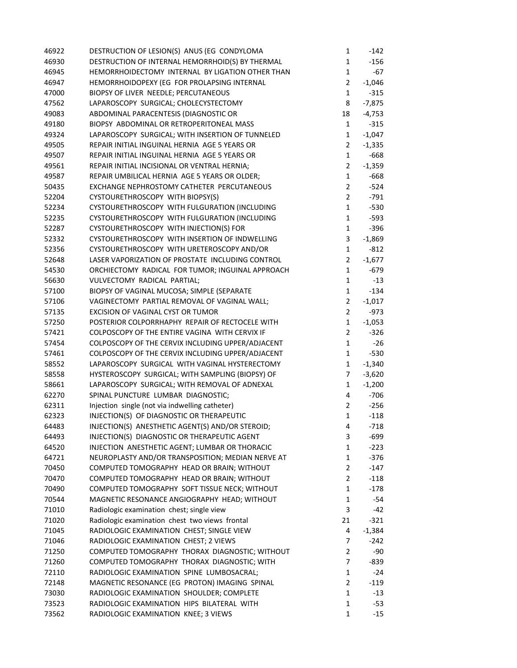| 46922 | DESTRUCTION OF LESION(S) ANUS (EG CONDYLOMA       | 1              | $-142$   |
|-------|---------------------------------------------------|----------------|----------|
| 46930 | DESTRUCTION OF INTERNAL HEMORRHOID(S) BY THERMAL  | $\mathbf 1$    | $-156$   |
| 46945 | HEMORRHOIDECTOMY INTERNAL BY LIGATION OTHER THAN  | $\mathbf 1$    | $-67$    |
| 46947 | HEMORRHOIDOPEXY (EG FOR PROLAPSING INTERNAL       | $\overline{2}$ | $-1,046$ |
| 47000 | BIOPSY OF LIVER NEEDLE; PERCUTANEOUS              | $\mathbf{1}$   | $-315$   |
| 47562 | LAPAROSCOPY SURGICAL; CHOLECYSTECTOMY             | 8              | $-7,875$ |
| 49083 | ABDOMINAL PARACENTESIS (DIAGNOSTIC OR             | 18             | $-4,753$ |
| 49180 | BIOPSY ABDOMINAL OR RETROPERITONEAL MASS          | 1              | $-315$   |
| 49324 | LAPAROSCOPY SURGICAL; WITH INSERTION OF TUNNELED  | $\mathbf 1$    | $-1,047$ |
| 49505 | REPAIR INITIAL INGUINAL HERNIA AGE 5 YEARS OR     | $\overline{2}$ | $-1,335$ |
| 49507 | REPAIR INITIAL INGUINAL HERNIA AGE 5 YEARS OR     | $\mathbf{1}$   | $-668$   |
| 49561 | REPAIR INITIAL INCISIONAL OR VENTRAL HERNIA;      | $\overline{2}$ | $-1,359$ |
| 49587 | REPAIR UMBILICAL HERNIA AGE 5 YEARS OR OLDER;     | $\mathbf{1}$   | $-668$   |
| 50435 | EXCHANGE NEPHROSTOMY CATHETER PERCUTANEOUS        | $\overline{2}$ | $-524$   |
| 52204 | CYSTOURETHROSCOPY WITH BIOPSY(S)                  | $\overline{2}$ | $-791$   |
| 52234 | CYSTOURETHROSCOPY WITH FULGURATION (INCLUDING     | 1              | $-530$   |
| 52235 | CYSTOURETHROSCOPY WITH FULGURATION (INCLUDING     | 1              | $-593$   |
| 52287 | CYSTOURETHROSCOPY WITH INJECTION(S) FOR           | $\mathbf{1}$   | $-396$   |
| 52332 | CYSTOURETHROSCOPY WITH INSERTION OF INDWELLING    | 3              | $-1,869$ |
| 52356 | CYSTOURETHROSCOPY WITH URETEROSCOPY AND/OR        | $\mathbf{1}$   | $-812$   |
| 52648 | LASER VAPORIZATION OF PROSTATE INCLUDING CONTROL  | $\overline{2}$ | $-1,677$ |
| 54530 | ORCHIECTOMY RADICAL FOR TUMOR; INGUINAL APPROACH  | 1              | $-679$   |
| 56630 | VULVECTOMY RADICAL PARTIAL;                       | 1              | $-13$    |
| 57100 | BIOPSY OF VAGINAL MUCOSA; SIMPLE (SEPARATE        | $\mathbf{1}$   | $-134$   |
| 57106 | VAGINECTOMY PARTIAL REMOVAL OF VAGINAL WALL;      | $\overline{2}$ | $-1,017$ |
| 57135 | EXCISION OF VAGINAL CYST OR TUMOR                 | $\overline{2}$ | -973     |
| 57250 | POSTERIOR COLPORRHAPHY REPAIR OF RECTOCELE WITH   | $\mathbf 1$    | $-1,053$ |
| 57421 | COLPOSCOPY OF THE ENTIRE VAGINA WITH CERVIX IF    | $\overline{2}$ | $-326$   |
| 57454 | COLPOSCOPY OF THE CERVIX INCLUDING UPPER/ADJACENT | 1              | $-26$    |
| 57461 | COLPOSCOPY OF THE CERVIX INCLUDING UPPER/ADJACENT | $\mathbf{1}$   | $-530$   |
| 58552 | LAPAROSCOPY SURGICAL WITH VAGINAL HYSTERECTOMY    | $\mathbf 1$    | $-1,340$ |
| 58558 | HYSTEROSCOPY SURGICAL; WITH SAMPLING (BIOPSY) OF  | 7              | $-3,620$ |
| 58661 | LAPAROSCOPY SURGICAL; WITH REMOVAL OF ADNEXAL     | $\mathbf{1}$   | $-1,200$ |
| 62270 | SPINAL PUNCTURE LUMBAR DIAGNOSTIC;                | 4              | -706     |
| 62311 | Injection single (not via indwelling catheter)    | $\overline{2}$ | $-256$   |
| 62323 | INJECTION(S) OF DIAGNOSTIC OR THERAPEUTIC         | $\mathbf 1$    | $-118$   |
| 64483 | INJECTION(S) ANESTHETIC AGENT(S) AND/OR STEROID;  | 4              | $-718$   |
| 64493 | INJECTION(S) DIAGNOSTIC OR THERAPEUTIC AGENT      | 3              | -699     |
| 64520 | INJECTION ANESTHETIC AGENT; LUMBAR OR THORACIC    | $\mathbf{1}$   | $-223$   |
| 64721 | NEUROPLASTY AND/OR TRANSPOSITION; MEDIAN NERVE AT | $\mathbf 1$    | $-376$   |
| 70450 | COMPUTED TOMOGRAPHY HEAD OR BRAIN; WITHOUT        | $\overline{2}$ | $-147$   |
| 70470 | COMPUTED TOMOGRAPHY HEAD OR BRAIN; WITHOUT        | $\mathbf{2}$   | $-118$   |
| 70490 | COMPUTED TOMOGRAPHY SOFT TISSUE NECK; WITHOUT     | 1              | $-178$   |
| 70544 | MAGNETIC RESONANCE ANGIOGRAPHY HEAD; WITHOUT      | 1              | $-54$    |
| 71010 | Radiologic examination chest; single view         | 3              | $-42$    |
| 71020 | Radiologic examination chest two views frontal    | 21             | $-321$   |
| 71045 | RADIOLOGIC EXAMINATION CHEST; SINGLE VIEW         | 4              | $-1,384$ |
| 71046 | RADIOLOGIC EXAMINATION CHEST; 2 VIEWS             | 7              | $-242$   |
| 71250 | COMPUTED TOMOGRAPHY THORAX DIAGNOSTIC; WITHOUT    | $\overline{2}$ | $-90$    |
| 71260 | COMPUTED TOMOGRAPHY THORAX DIAGNOSTIC; WITH       | $\overline{7}$ | $-839$   |
| 72110 | RADIOLOGIC EXAMINATION SPINE LUMBOSACRAL;         | $\mathbf{1}$   | $-24$    |
| 72148 | MAGNETIC RESONANCE (EG PROTON) IMAGING SPINAL     | $\overline{2}$ | $-119$   |
| 73030 | RADIOLOGIC EXAMINATION SHOULDER; COMPLETE         | $\mathbf{1}$   | $-13$    |
| 73523 | RADIOLOGIC EXAMINATION HIPS BILATERAL WITH        | 1              | $-53$    |
| 73562 | RADIOLOGIC EXAMINATION KNEE; 3 VIEWS              | 1              | $-15$    |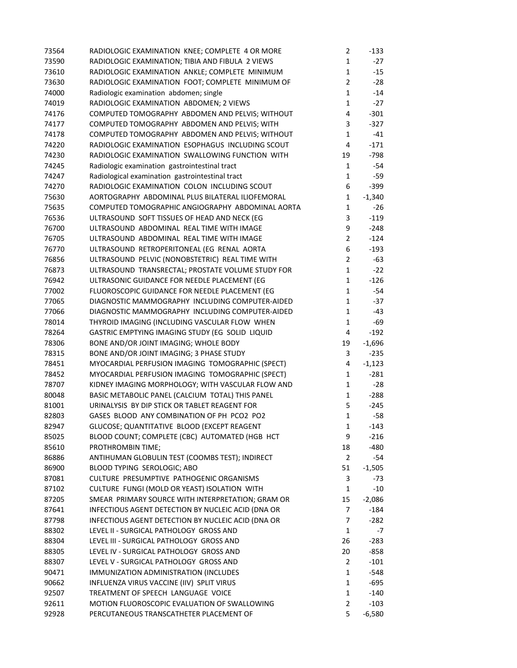| 73564 | RADIOLOGIC EXAMINATION KNEE; COMPLETE 4 OR MORE                         | $\overline{2}$       | $-133$      |
|-------|-------------------------------------------------------------------------|----------------------|-------------|
| 73590 | RADIOLOGIC EXAMINATION; TIBIA AND FIBULA 2 VIEWS                        | 1                    | $-27$       |
| 73610 | RADIOLOGIC EXAMINATION ANKLE; COMPLETE MINIMUM                          | $\mathbf{1}$         | $-15$       |
| 73630 | RADIOLOGIC EXAMINATION FOOT; COMPLETE MINIMUM OF                        | $\overline{2}$       | $-28$       |
| 74000 | Radiologic examination abdomen; single                                  | 1                    | $-14$       |
| 74019 | RADIOLOGIC EXAMINATION ABDOMEN; 2 VIEWS                                 | 1                    | $-27$       |
| 74176 | COMPUTED TOMOGRAPHY ABDOMEN AND PELVIS; WITHOUT                         | 4                    | $-301$      |
| 74177 | COMPUTED TOMOGRAPHY ABDOMEN AND PELVIS; WITH                            | 3                    | $-327$      |
| 74178 | COMPUTED TOMOGRAPHY ABDOMEN AND PELVIS; WITHOUT                         | 1                    | $-41$       |
| 74220 | RADIOLOGIC EXAMINATION ESOPHAGUS INCLUDING SCOUT                        | 4                    | $-171$      |
| 74230 | RADIOLOGIC EXAMINATION SWALLOWING FUNCTION WITH                         | 19                   | $-798$      |
| 74245 | Radiologic examination gastrointestinal tract                           | $\mathbf{1}$         | -54         |
| 74247 | Radiological examination gastrointestinal tract                         | 1                    | $-59$       |
| 74270 | RADIOLOGIC EXAMINATION COLON INCLUDING SCOUT                            | 6                    | $-399$      |
| 75630 | AORTOGRAPHY ABDOMINAL PLUS BILATERAL ILIOFEMORAL                        | 1                    | $-1,340$    |
| 75635 | COMPUTED TOMOGRAPHIC ANGIOGRAPHY ABDOMINAL AORTA                        | 1                    | $-26$       |
| 76536 | ULTRASOUND SOFT TISSUES OF HEAD AND NECK (EG                            | 3                    | $-119$      |
| 76700 | ULTRASOUND ABDOMINAL REAL TIME WITH IMAGE                               | 9                    | $-248$      |
| 76705 | ULTRASOUND ABDOMINAL REAL TIME WITH IMAGE                               | $\overline{2}$       | $-124$      |
| 76770 | ULTRASOUND RETROPERITONEAL (EG RENAL AORTA                              | 6                    | $-193$      |
| 76856 | ULTRASOUND PELVIC (NONOBSTETRIC) REAL TIME WITH                         | $\overline{2}$       | -63         |
| 76873 | ULTRASOUND TRANSRECTAL; PROSTATE VOLUME STUDY FOR                       | 1                    | $-22$       |
| 76942 | ULTRASONIC GUIDANCE FOR NEEDLE PLACEMENT (EG                            | 1                    | $-126$      |
| 77002 | FLUOROSCOPIC GUIDANCE FOR NEEDLE PLACEMENT (EG                          | $\mathbf{1}$         | -54         |
| 77065 | DIAGNOSTIC MAMMOGRAPHY INCLUDING COMPUTER-AIDED                         | $\mathbf{1}$         | $-37$       |
| 77066 | DIAGNOSTIC MAMMOGRAPHY INCLUDING COMPUTER-AIDED                         | 1                    | -43         |
| 78014 | THYROID IMAGING (INCLUDING VASCULAR FLOW WHEN                           | 1                    | -69         |
| 78264 | GASTRIC EMPTYING IMAGING STUDY (EG SOLID LIQUID                         | 4                    | $-192$      |
| 78306 | BONE AND/OR JOINT IMAGING; WHOLE BODY                                   | 19                   | $-1,696$    |
| 78315 | BONE AND/OR JOINT IMAGING; 3 PHASE STUDY                                | 3                    | $-235$      |
| 78451 | MYOCARDIAL PERFUSION IMAGING TOMOGRAPHIC (SPECT)                        | 4                    | $-1,123$    |
| 78452 | MYOCARDIAL PERFUSION IMAGING TOMOGRAPHIC (SPECT)                        | 1                    | $-281$      |
| 78707 | KIDNEY IMAGING MORPHOLOGY; WITH VASCULAR FLOW AND                       | 1                    | $-28$       |
| 80048 | BASIC METABOLIC PANEL (CALCIUM TOTAL) THIS PANEL                        | 1                    | $-288$      |
| 81001 | URINALYSIS BY DIP STICK OR TABLET REAGENT FOR                           | 5                    | $-245$      |
| 82803 | GASES BLOOD ANY COMBINATION OF PH PCO2 PO2                              | 1                    | $-58$       |
| 82947 | GLUCOSE; QUANTITATIVE BLOOD (EXCEPT REAGENT                             | 1                    | $-143$      |
| 85025 | BLOOD COUNT; COMPLETE (CBC) AUTOMATED (HGB HCT                          | 9                    | $-216$      |
|       |                                                                         |                      |             |
| 85610 | PROTHROMBIN TIME;                                                       | 18<br>$\overline{2}$ | -480<br>-54 |
| 86886 | ANTIHUMAN GLOBULIN TEST (COOMBS TEST); INDIRECT                         |                      |             |
| 86900 | BLOOD TYPING SEROLOGIC; ABO<br>CULTURE PRESUMPTIVE PATHOGENIC ORGANISMS | 51                   | $-1,505$    |
| 87081 |                                                                         | 3                    | -73         |
| 87102 | CULTURE FUNGI (MOLD OR YEAST) ISOLATION WITH                            | 1                    | $-10$       |
| 87205 | SMEAR PRIMARY SOURCE WITH INTERPRETATION; GRAM OR                       | 15                   | $-2,086$    |
| 87641 | INFECTIOUS AGENT DETECTION BY NUCLEIC ACID (DNA OR                      | 7                    | $-184$      |
| 87798 | INFECTIOUS AGENT DETECTION BY NUCLEIC ACID (DNA OR                      | 7                    | $-282$      |
| 88302 | LEVEL II - SURGICAL PATHOLOGY GROSS AND                                 | 1                    | -7          |
| 88304 | LEVEL III - SURGICAL PATHOLOGY GROSS AND                                | 26                   | $-283$      |
| 88305 | LEVEL IV - SURGICAL PATHOLOGY GROSS AND                                 | 20                   | -858        |
| 88307 | LEVEL V - SURGICAL PATHOLOGY GROSS AND                                  | $\overline{2}$       | $-101$      |
| 90471 | IMMUNIZATION ADMINISTRATION (INCLUDES                                   | 1                    | -548        |
| 90662 | INFLUENZA VIRUS VACCINE (IIV) SPLIT VIRUS                               | 1                    | -695        |
| 92507 | TREATMENT OF SPEECH LANGUAGE VOICE                                      | 1                    | $-140$      |
| 92611 | MOTION FLUOROSCOPIC EVALUATION OF SWALLOWING                            | 2                    | $-103$      |
| 92928 | PERCUTANEOUS TRANSCATHETER PLACEMENT OF                                 | 5                    | $-6,580$    |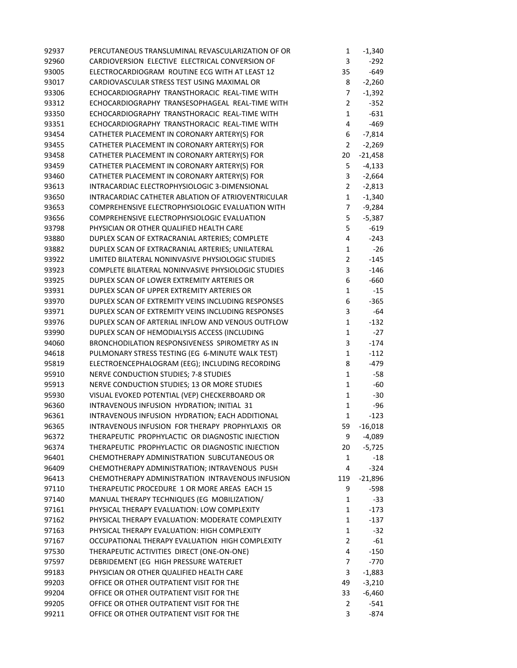| 92937 | PERCUTANEOUS TRANSLUMINAL REVASCULARIZATION OF OR  | $\mathbf{1}$   | $-1,340$  |
|-------|----------------------------------------------------|----------------|-----------|
| 92960 | CARDIOVERSION ELECTIVE ELECTRICAL CONVERSION OF    | 3              | $-292$    |
| 93005 | ELECTROCARDIOGRAM ROUTINE ECG WITH AT LEAST 12     | 35             | $-649$    |
| 93017 | CARDIOVASCULAR STRESS TEST USING MAXIMAL OR        | 8              | $-2,260$  |
| 93306 | ECHOCARDIOGRAPHY TRANSTHORACIC REAL-TIME WITH      | 7              | $-1,392$  |
| 93312 | ECHOCARDIOGRAPHY TRANSESOPHAGEAL REAL-TIME WITH    | $\overline{2}$ | $-352$    |
| 93350 | ECHOCARDIOGRAPHY TRANSTHORACIC REAL-TIME WITH      | $\mathbf{1}$   | $-631$    |
| 93351 | ECHOCARDIOGRAPHY TRANSTHORACIC REAL-TIME WITH      | 4              | $-469$    |
| 93454 | CATHETER PLACEMENT IN CORONARY ARTERY(S) FOR       | 6              | $-7,814$  |
| 93455 | CATHETER PLACEMENT IN CORONARY ARTERY(S) FOR       | $\overline{2}$ | $-2,269$  |
| 93458 | CATHETER PLACEMENT IN CORONARY ARTERY(S) FOR       | 20             | $-21,458$ |
| 93459 | CATHETER PLACEMENT IN CORONARY ARTERY(S) FOR       | 5              | $-4,133$  |
| 93460 | CATHETER PLACEMENT IN CORONARY ARTERY(S) FOR       | 3              | $-2,664$  |
| 93613 | INTRACARDIAC ELECTROPHYSIOLOGIC 3-DIMENSIONAL      | $\overline{2}$ | $-2,813$  |
| 93650 | INTRACARDIAC CATHETER ABLATION OF ATRIOVENTRICULAR | $\mathbf{1}$   | $-1,340$  |
| 93653 | COMPREHENSIVE ELECTROPHYSIOLOGIC EVALUATION WITH   | $\overline{7}$ | $-9,284$  |
| 93656 | COMPREHENSIVE ELECTROPHYSIOLOGIC EVALUATION        | 5              | $-5,387$  |
| 93798 | PHYSICIAN OR OTHER QUALIFIED HEALTH CARE           | 5              | $-619$    |
| 93880 | DUPLEX SCAN OF EXTRACRANIAL ARTERIES; COMPLETE     | 4              | $-243$    |
| 93882 | DUPLEX SCAN OF EXTRACRANIAL ARTERIES; UNILATERAL   | $\mathbf{1}$   | $-26$     |
| 93922 | LIMITED BILATERAL NONINVASIVE PHYSIOLOGIC STUDIES  | $\overline{2}$ | $-145$    |
| 93923 | COMPLETE BILATERAL NONINVASIVE PHYSIOLOGIC STUDIES | 3              | $-146$    |
| 93925 | DUPLEX SCAN OF LOWER EXTREMITY ARTERIES OR         | 6              | $-660$    |
| 93931 | DUPLEX SCAN OF UPPER EXTREMITY ARTERIES OR         | $\mathbf{1}$   | $-15$     |
| 93970 | DUPLEX SCAN OF EXTREMITY VEINS INCLUDING RESPONSES | 6              | $-365$    |
| 93971 | DUPLEX SCAN OF EXTREMITY VEINS INCLUDING RESPONSES | 3              | -64       |
| 93976 | DUPLEX SCAN OF ARTERIAL INFLOW AND VENOUS OUTFLOW  | $\mathbf{1}$   | $-132$    |
| 93990 | DUPLEX SCAN OF HEMODIALYSIS ACCESS (INCLUDING      | $\mathbf 1$    | $-27$     |
| 94060 | BRONCHODILATION RESPONSIVENESS SPIROMETRY AS IN    | 3              | $-174$    |
| 94618 | PULMONARY STRESS TESTING (EG 6-MINUTE WALK TEST)   | $\mathbf{1}$   | $-112$    |
| 95819 | ELECTROENCEPHALOGRAM (EEG); INCLUDING RECORDING    | 8              | $-479$    |
| 95910 | NERVE CONDUCTION STUDIES; 7-8 STUDIES              | $\mathbf{1}$   | $-58$     |
| 95913 | NERVE CONDUCTION STUDIES; 13 OR MORE STUDIES       | $\mathbf{1}$   | -60       |
| 95930 | VISUAL EVOKED POTENTIAL (VEP) CHECKERBOARD OR      | $\mathbf 1$    | $-30$     |
| 96360 | INTRAVENOUS INFUSION HYDRATION; INITIAL 31         | $\mathbf{1}$   | $-96$     |
| 96361 | INTRAVENOUS INFUSION HYDRATION; EACH ADDITIONAL    | 1              | $-123$    |
| 96365 | INTRAVENOUS INFUSION FOR THERAPY PROPHYLAXIS OR    | 59             | $-16,018$ |
| 96372 | THERAPEUTIC PROPHYLACTIC OR DIAGNOSTIC INJECTION   | 9              | -4,089    |
| 96374 | THERAPEUTIC PROPHYLACTIC OR DIAGNOSTIC INJECTION   | 20             | $-5,725$  |
| 96401 | CHEMOTHERAPY ADMINISTRATION SUBCUTANEOUS OR        | $\mathbf{1}$   | $-18$     |
| 96409 | CHEMOTHERAPY ADMINISTRATION; INTRAVENOUS PUSH      | 4              | $-324$    |
| 96413 | CHEMOTHERAPY ADMINISTRATION INTRAVENOUS INFUSION   | 119            | $-21,896$ |
| 97110 | THERAPEUTIC PROCEDURE 1 OR MORE AREAS EACH 15      | 9              | -598      |
| 97140 | MANUAL THERAPY TECHNIQUES (EG MOBILIZATION/        | 1              | $-33$     |
| 97161 | PHYSICAL THERAPY EVALUATION: LOW COMPLEXITY        | 1              | $-173$    |
| 97162 | PHYSICAL THERAPY EVALUATION: MODERATE COMPLEXITY   | $\mathbf{1}$   | $-137$    |
| 97163 | PHYSICAL THERAPY EVALUATION: HIGH COMPLEXITY       | 1              | $-32$     |
| 97167 | OCCUPATIONAL THERAPY EVALUATION HIGH COMPLEXITY    | 2              | $-61$     |
| 97530 | THERAPEUTIC ACTIVITIES DIRECT (ONE-ON-ONE)         | 4              | $-150$    |
| 97597 | DEBRIDEMENT (EG HIGH PRESSURE WATERJET             | 7              | $-770$    |
| 99183 | PHYSICIAN OR OTHER QUALIFIED HEALTH CARE           | 3              | $-1,883$  |
| 99203 | OFFICE OR OTHER OUTPATIENT VISIT FOR THE           | 49             | $-3,210$  |
| 99204 | OFFICE OR OTHER OUTPATIENT VISIT FOR THE           | 33             | $-6,460$  |
| 99205 | OFFICE OR OTHER OUTPATIENT VISIT FOR THE           | $\overline{2}$ | $-541$    |
| 99211 | OFFICE OR OTHER OUTPATIENT VISIT FOR THE           | 3              | -874      |
|       |                                                    |                |           |